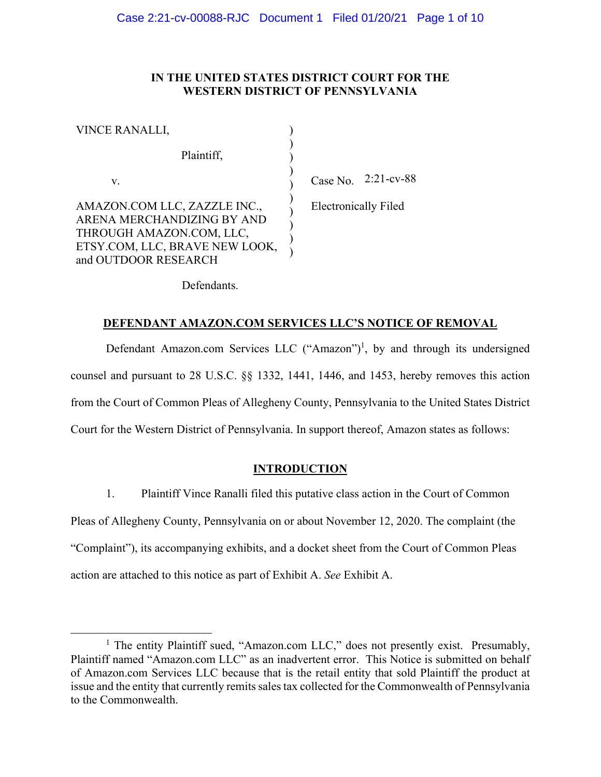#### IN THE UNITED STATES DISTRICT COURT FOR THE **WESTERN DISTRICT OF PENNSYLVANIA**

| VINCE RANALLI,                                                                                                                                   |     |
|--------------------------------------------------------------------------------------------------------------------------------------------------|-----|
| Plaintiff,                                                                                                                                       |     |
| V.                                                                                                                                               |     |
| AMAZON.COM LLC, ZAZZLE INC.,<br>ARENA MERCHANDIZING BY AND<br>THROUGH AMAZON.COM, LLC,<br>ETSY.COM, LLC, BRAVE NEW LOOK,<br>and OUTDOOR RESEARCH | Ele |

 $Re$  No. 2:21-cv-88

ctronically Filed

Defendants.

#### DEFENDANT AMAZON.COM SERVICES LLC'S NOTICE OF REMOVAL

Defendant Amazon.com Services LLC ("Amazon")<sup>1</sup>, by and through its undersigned counsel and pursuant to 28 U.S.C. §§ 1332, 1441, 1446, and 1453, hereby removes this action from the Court of Common Pleas of Allegheny County, Pennsylvania to the United States District Court for the Western District of Pennsylvania. In support thereof, Amazon states as follows:

#### **INTRODUCTION**

 $1<sup>1</sup>$ Plaintiff Vince Ranalli filed this putative class action in the Court of Common Pleas of Allegheny County, Pennsylvania on or about November 12, 2020. The complaint (the "Complaint"), its accompanying exhibits, and a docket sheet from the Court of Common Pleas action are attached to this notice as part of Exhibit A. See Exhibit A.

<sup>&</sup>lt;sup>1</sup> The entity Plaintiff sued, "Amazon.com LLC," does not presently exist. Presumably, Plaintiff named "Amazon.com LLC" as an inadvertent error. This Notice is submitted on behalf of Amazon.com Services LLC because that is the retail entity that sold Plaintiff the product at issue and the entity that currently remits sales tax collected for the Commonwealth of Pennsylvania to the Commonwealth.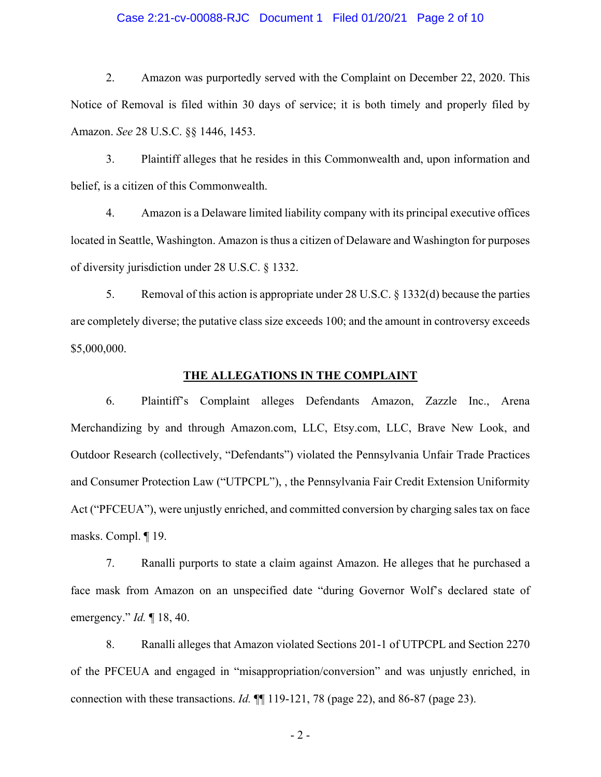#### Case 2:21-cv-00088-RJC Document 1 Filed 01/20/21 Page 2 of 10

 $2.$ Amazon was purportedly served with the Complaint on December 22, 2020. This Notice of Removal is filed within 30 days of service; it is both timely and properly filed by Amazon. See 28 U.S.C. §§ 1446, 1453.

 $3.$ Plaintiff alleges that he resides in this Commonwealth and, upon information and belief, is a citizen of this Commonwealth.

 $4.$ Amazon is a Delaware limited liability company with its principal executive offices located in Seattle, Washington. Amazon is thus a citizen of Delaware and Washington for purposes of diversity jurisdiction under 28 U.S.C. § 1332.

5. Removal of this action is appropriate under 28 U.S.C.  $\S$  1332(d) because the parties are completely diverse; the putative class size exceeds 100; and the amount in controversy exceeds \$5,000,000.

#### THE ALLEGATIONS IN THE COMPLAINT

6. Plaintiff's Complaint alleges Defendants Amazon, Zazzle Inc., Arena Merchandizing by and through Amazon.com, LLC, Etsy.com, LLC, Brave New Look, and Outdoor Research (collectively, "Defendants") violated the Pennsylvania Unfair Trade Practices and Consumer Protection Law ("UTPCPL"), , the Pennsylvania Fair Credit Extension Uniformity Act ("PFCEUA"), were unjustly enriched, and committed conversion by charging sales tax on face masks. Compl.  $\P$  19.

7. Ranalli purports to state a claim against Amazon. He alleges that he purchased a face mask from Amazon on an unspecified date "during Governor Wolf's declared state of emergency."  $Id. \P 18, 40.$ 

8. Ranalli alleges that Amazon violated Sections 201-1 of UTPCPL and Section 2270 of the PFCEUA and engaged in "misappropriation/conversion" and was unjustly enriched, in connection with these transactions. *Id.*  $\P$  119-121, 78 (page 22), and 86-87 (page 23).

 $-2-$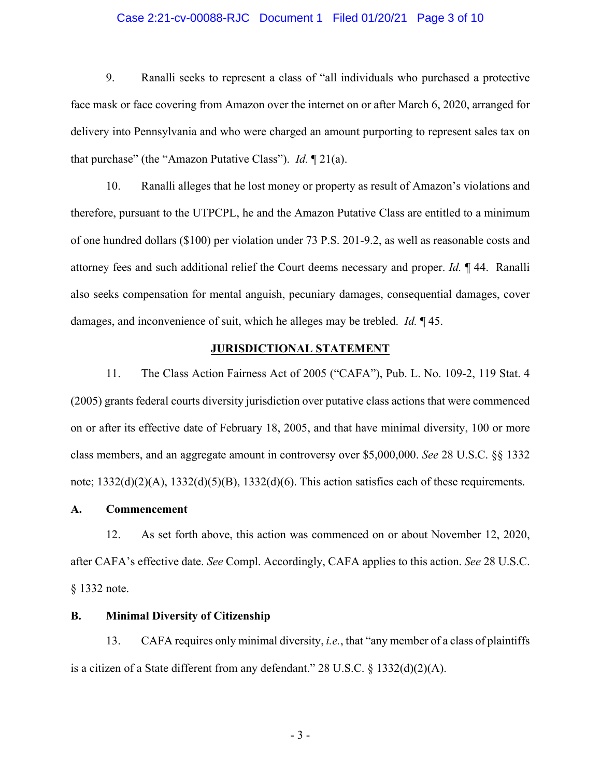#### Case 2:21-cv-00088-RJC Document 1 Filed 01/20/21 Page 3 of 10

9. Ranalli seeks to represent a class of "all individuals who purchased a protective face mask or face covering from Amazon over the internet on or after March 6, 2020, arranged for delivery into Pennsylvania and who were charged an amount purporting to represent sales tax on that purchase" (the "Amazon Putative Class"). *Id.*  $\P$  21(a).

10. Ranalli alleges that he lost money or property as result of Amazon's violations and therefore, pursuant to the UTPCPL, he and the Amazon Putative Class are entitled to a minimum of one hundred dollars (\$100) per violation under 73 P.S. 201-9.2, as well as reasonable costs and attorney fees and such additional relief the Court deems necessary and proper. Id. 144. Ranalli also seeks compensation for mental anguish, pecuniary damages, consequential damages, cover damages, and inconvenience of suit, which he alleges may be trebled. *Id.*  $\mathbb{I}$  45.

#### **JURISDICTIONAL STATEMENT**

11. The Class Action Fairness Act of 2005 ("CAFA"), Pub. L. No. 109-2, 119 Stat. 4 (2005) grants federal courts diversity jurisdiction over putative class actions that were commenced on or after its effective date of February 18, 2005, and that have minimal diversity, 100 or more class members, and an aggregate amount in controversy over \$5,000,000. See 28 U.S.C. §§ 1332 note;  $1332(d)(2)(A)$ ,  $1332(d)(5)(B)$ ,  $1332(d)(6)$ . This action satisfies each of these requirements.

#### $\mathbf{A}$ . **Commencement**

As set forth above, this action was commenced on or about November 12, 2020, 12. after CAFA's effective date. See Compl. Accordingly, CAFA applies to this action. See 28 U.S.C. § 1332 note.

#### **Minimal Diversity of Citizenship B.**

13. CAFA requires only minimal diversity, *i.e.*, that "any member of a class of plaintiffs" is a citizen of a State different from any defendant." 28 U.S.C.  $\S$  1332(d)(2)(A).

 $-3-$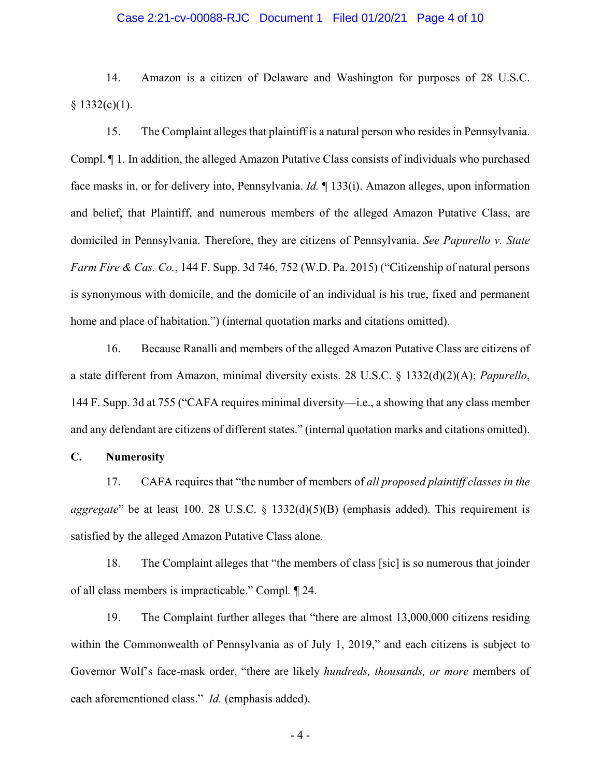#### Case 2:21-cv-00088-RJC Document 1 Filed 01/20/21 Page 4 of 10

14. Amazon is a citizen of Delaware and Washington for purposes of 28 U.S.C.  $§ 1332(c)(1).$ 

15. The Complaint alleges that plaint if is a natural person who resides in Pennsylvania. Compl. If 1. In addition, the alleged Amazon Putative Class consists of individuals who purchased face masks in, or for delivery into, Pennsylvania. *Id.*  $\parallel$  133(i). Amazon alleges, upon information and belief, that Plaintiff, and numerous members of the alleged Amazon Putative Class, are domiciled in Pennsylvania. Therefore, they are citizens of Pennsylvania. See Papurello v. State *Farm Fire & Cas. Co.*, 144 F. Supp. 3d 746, 752 (W.D. Pa. 2015) ("Citizenship of natural persons is synonymous with domicile, and the domicile of an individual is his true, fixed and permanent home and place of habitation.") (internal quotation marks and citations omitted).

16. Because Ranalli and members of the alleged Amazon Putative Class are citizens of a state different from Amazon, minimal diversity exists. 28 U.S.C.  $\S$  1332(d)(2)(A); *Papurello*, 144 F. Supp. 3d at 755 ("CAFA requires minimal diversity—i.e., a showing that any class member and any defendant are citizens of different states." (internal quotation marks and citations omitted).

#### **C. Numerosity**

17. CAFA requires that "the number of members of *all proposed plaintiff classes in the* aggregate" be at least 100. 28 U.S.C. § 1332(d)(5)(B) (emphasis added). This requirement is satisfied by the alleged Amazon Putative Class alone.

18. The Complaint alleges that "the members of class [sic] is so numerous that joinder of all class members is impracticable." Compl. 1 24.

19. The Complaint further alleges that "there are almost 13,000,000 citizens residing within the Commonwealth of Pennsylvania as of July 1, 2019," and each citizens is subject to Governor Wolf's face-mask order, "there are likely *hundreds, thousands, or more* members of each aforementioned class." *Id.* (emphasis added).

 $-4-$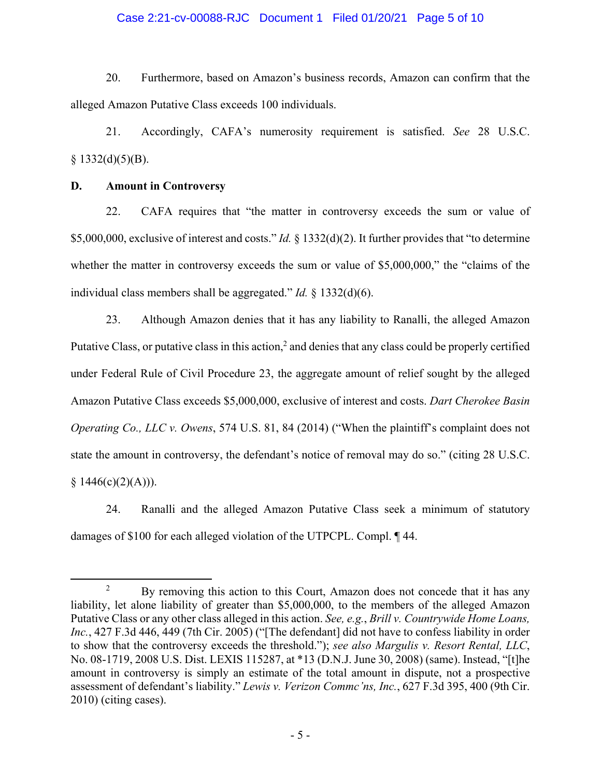#### Case 2:21-cv-00088-RJC Document 1 Filed 01/20/21 Page 5 of 10

20. Furthermore, based on Amazon's business records, Amazon can confirm that the alleged Amazon Putative Class exceeds 100 individuals.

21. Accordingly, CAFA's numerosity requirement is satisfied. See 28 U.S.C.  $$1332(d)(5)(B).$ 

#### D. **Amount in Controversy**

22. CAFA requires that "the matter in controversy exceeds the sum or value of \$5,000,000, exclusive of interest and costs." *Id.* § 1332(d)(2). It further provides that "to determine" whether the matter in controversy exceeds the sum or value of \$5,000,000," the "claims of the individual class members shall be aggregated." *Id.*  $\frac{1}{2}$  1332(d)(6).

23. Although Amazon denies that it has any liability to Ranalli, the alleged Amazon Putative Class, or putative class in this action,<sup>2</sup> and denies that any class could be properly certified under Federal Rule of Civil Procedure 23, the aggregate amount of relief sought by the alleged Amazon Putative Class exceeds \$5,000,000, exclusive of interest and costs. Dart Cherokee Basin Operating Co., LLC v. Owens, 574 U.S. 81, 84 (2014) ("When the plaintiff's complaint does not state the amount in controversy, the defendant's notice of removal may do so." (citing 28 U.S.C.  $$1446(c)(2)(A))$ ).

Ranalli and the alleged Amazon Putative Class seek a minimum of statutory 24. damages of \$100 for each alleged violation of the UTPCPL. Compl. 144.

 $\overline{2}$ By removing this action to this Court, Amazon does not concede that it has any liability, let alone liability of greater than \$5,000,000, to the members of the alleged Amazon Putative Class or any other class alleged in this action. See, e.g., Brill v. Countrywide Home Loans, Inc., 427 F.3d 446, 449 (7th Cir. 2005) ("[The defendant] did not have to confess liability in order to show that the controversy exceeds the threshold."); see also Margulis v. Resort Rental, LLC, No. 08-1719, 2008 U.S. Dist. LEXIS 115287, at \*13 (D.N.J. June 30, 2008) (same). Instead, "[t]he amount in controversy is simply an estimate of the total amount in dispute, not a prospective assessment of defendant's liability." Lewis v. Verizon Commc'ns, Inc., 627 F.3d 395, 400 (9th Cir.  $2010$ ) (citing cases).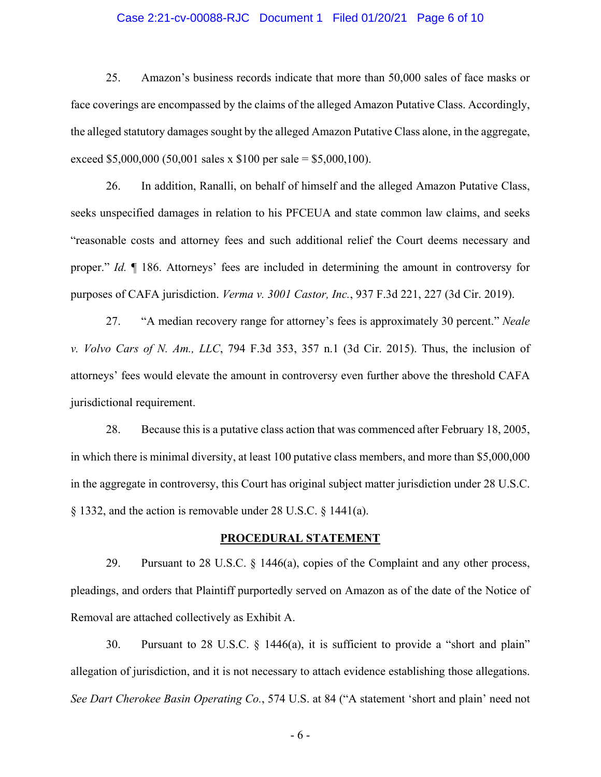#### Case 2:21-cv-00088-RJC Document 1 Filed 01/20/21 Page 6 of 10

25. Amazon's business records indicate that more than 50,000 sales of face masks or face coverings are encompassed by the claims of the alleged Amazon Putative Class. Accordingly, the alleged statutory damages sought by the alleged Amazon Putative Class alone, in the aggregate, exceed \$5,000,000 (50,001 sales x \$100 per sale = \$5,000,100).

26. In addition, Ranalli, on behalf of himself and the alleged Amazon Putative Class, seeks unspecified damages in relation to his PFCEUA and state common law claims, and seeks "reasonable costs and attorney fees and such additional relief the Court deems necessary and proper." Id. ¶ 186. Attorneys' fees are included in determining the amount in controversy for purposes of CAFA jurisdiction. Verma v. 3001 Castor, Inc., 937 F.3d 221, 227 (3d Cir. 2019).

27. "A median recovery range for attorney's fees is approximately 30 percent." Neale v. Volvo Cars of N. Am., LLC, 794 F.3d 353, 357 n.1 (3d Cir. 2015). Thus, the inclusion of attorneys' fees would elevate the amount in controversy even further above the threshold CAFA jurisdictional requirement.

28. Because this is a putative class action that was commenced after February 18, 2005, in which there is minimal diversity, at least 100 putative class members, and more than \$5,000,000 in the aggregate in controversy, this Court has original subject matter jurisdiction under 28 U.S.C.  $\S$  1332, and the action is removable under 28 U.S.C.  $\S$  1441(a).

#### PROCEDURAL STATEMENT

29. Pursuant to 28 U.S.C. § 1446(a), copies of the Complaint and any other process, pleadings, and orders that Plaintiff purportedly served on Amazon as of the date of the Notice of Removal are attached collectively as Exhibit A.

30. Pursuant to 28 U.S.C.  $\S$  1446(a), it is sufficient to provide a "short and plain" allegation of jurisdiction, and it is not necessary to attach evidence establishing those allegations. See Dart Cherokee Basin Operating Co., 574 U.S. at 84 ("A statement 'short and plain' need not

 $-6-$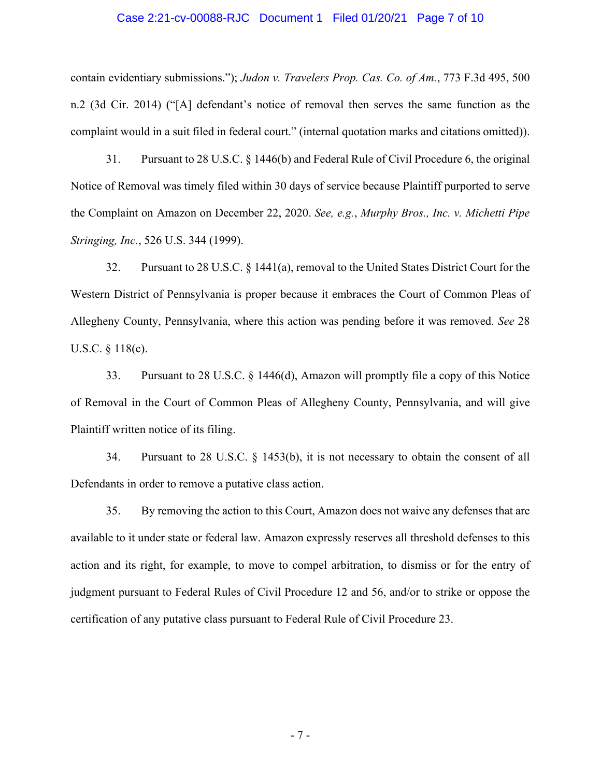#### Case 2:21-cv-00088-RJC Document 1 Filed 01/20/21 Page 7 of 10

contain evidentiary submissions."); Judon v. Travelers Prop. Cas. Co. of Am., 773 F.3d 495, 500 n.2 (3d Cir. 2014) ("[A] defendant's notice of removal then serves the same function as the complaint would in a suit filed in federal court." (internal quotation marks and citations omitted)).

31. Pursuant to 28 U.S.C. § 1446(b) and Federal Rule of Civil Procedure 6, the original Notice of Removal was timely filed within 30 days of service because Plaintiff purported to serve the Complaint on Amazon on December 22, 2020. See, e.g., Murphy Bros., Inc. v. Michetti Pipe Stringing, Inc., 526 U.S. 344 (1999).

32. Pursuant to 28 U.S.C. § 1441(a), removal to the United States District Court for the Western District of Pennsylvania is proper because it embraces the Court of Common Pleas of Allegheny County, Pennsylvania, where this action was pending before it was removed. See 28 U.S.C.  $\S$  118(c).

Pursuant to 28 U.S.C.  $\S$  1446(d), Amazon will promptly file a copy of this Notice 33. of Removal in the Court of Common Pleas of Allegheny County, Pennsylvania, and will give Plaintiff written notice of its filing.

34. Pursuant to 28 U.S.C.  $\S$  1453(b), it is not necessary to obtain the consent of all Defendants in order to remove a putative class action.

35. By removing the action to this Court, Amazon does not waive any defenses that are available to it under state or federal law. Amazon expressly reserves all threshold defenses to this action and its right, for example, to move to compel arbitration, to dismiss or for the entry of judgment pursuant to Federal Rules of Civil Procedure 12 and 56, and/or to strike or oppose the certification of any putative class pursuant to Federal Rule of Civil Procedure 23.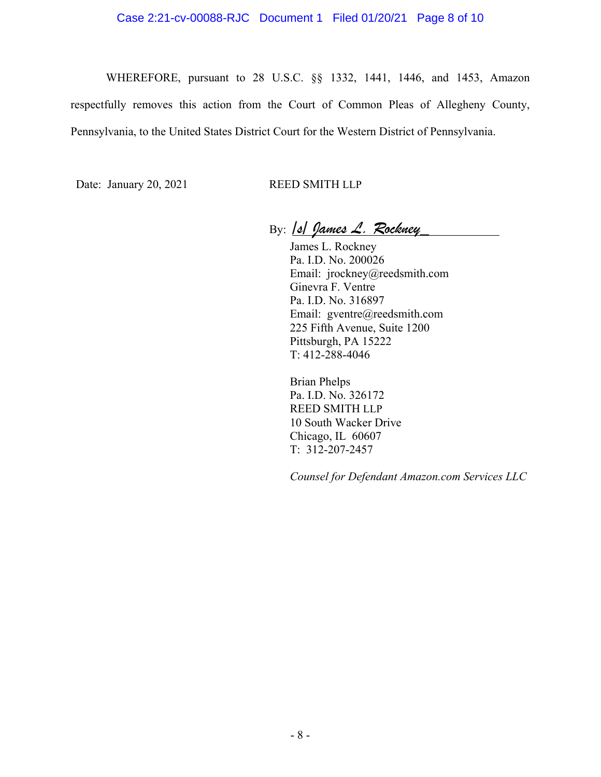#### Case 2:21-cv-00088-RJC Document 1 Filed 01/20/21 Page 8 of 10

WHEREFORE, pursuant to 28 U.S.C. §§ 1332, 1441, 1446, and 1453, Amazon respectfully removes this action from the Court of Common Pleas of Allegheny County, Pennsylvania, to the United States District Court for the Western District of Pennsylvania.

Date: January 20, 2021 REED SMITH LLP

By:  $|s|$  James L. Rockney

James L. Rockney Pa. I.D. No. 200026 Email: jrockney@reedsmith.com Ginevra F. Ventre Pa. I.D. No. 316897 Email: gventre@reedsmith.com 225 Fifth Avenue, Suite 1200 Pittsburgh, PA 15222 T: 412-288-4046

Brian Phelps Pa. I.D. No. 326172 REED SMITH LLP 10 South Wacker Drive Chicago, IL 60607  $T: 312-207-2457$ 

*Counsel for Defendant Amazon.com Services LLC*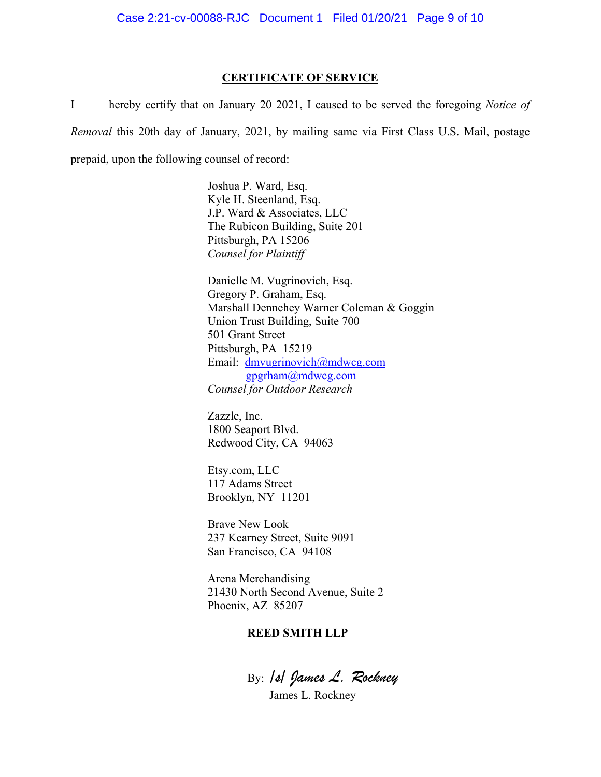#### **CERTIFICATE OF SERVICE**

I hereby certify that on January 20 2021, I caused to be served the foregoing *Notice of Removal* this 20th day of January, 2021, by mailing same via First Class U.S. Mail, postage prepaid, upon the following counsel of record:

> Joshua P. Ward, Esq. Kyle H. Steenland, Esq. J.P. Ward & Associates, LLC The Rubicon Building, Suite 201 Pittsburgh, PA 15206 *Counsel for Plaintiff*

Danielle M. Vugrinovich, Esq. Gregory P. Graham, Esq. Marshall Dennehey Warner Coleman & Goggin Union Trust Building, Suite 700 501 Grant Street Pittsburgh, PA 15219 Email: dmvugrinovich@mdwcg.com  $g$ pgrham $@$ mdwcg.com *Counsel for Outdoor Research*

Zazzle, Inc. 1800 Seaport Blvd. Redwood City, CA 94063

Etsy.com, LLC 117 Adams Street Brooklyn, NY 11201

Brave New Look 237 Kearney Street, Suite 9091 San Francisco, CA 94108

Arena Merchandising 21430 North Second Avenue, Suite 2 Phoenix, AZ 85207

#### **REED SMITH LLP**

By: 10 James L. Rockney

James L. Rockney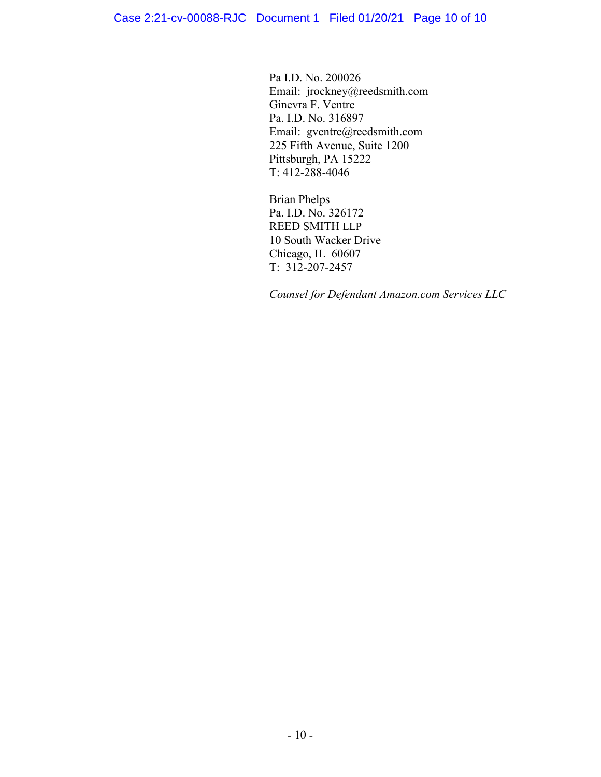Pa I.D. No. 200026 Email: jrockney@reedsmith.com Ginevra F. Ventre Pa. I.D. No. 316897 Email: gventre@reedsmith.com 225 Fifth Avenue, Suite 1200 Pittsburgh, PA 15222 T: 412-288-4046

Brian Phelps Pa. I.D. No. 326172 REED SMITH LLP 10 South Wacker Drive Chicago, IL 60607  $T: 312-207-2457$ 

*Counsel for Defendant Amazon.com Services LLC*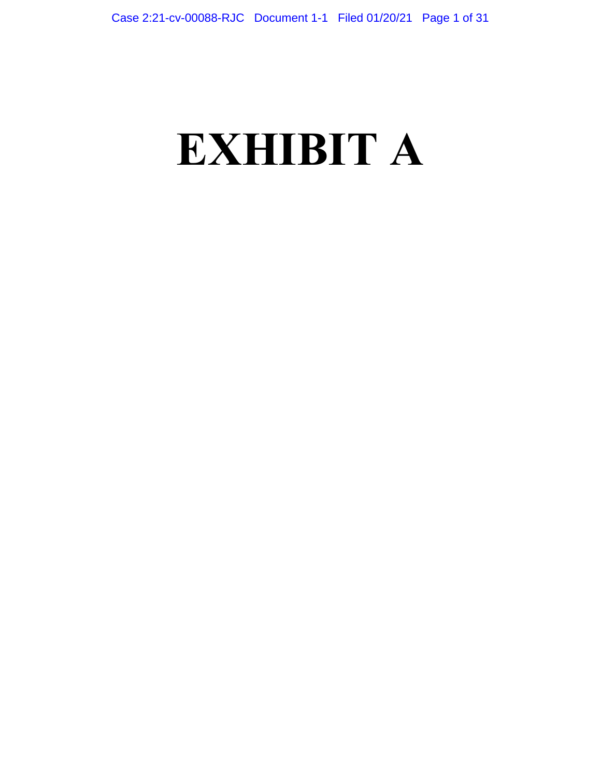# **EXHIBIT A**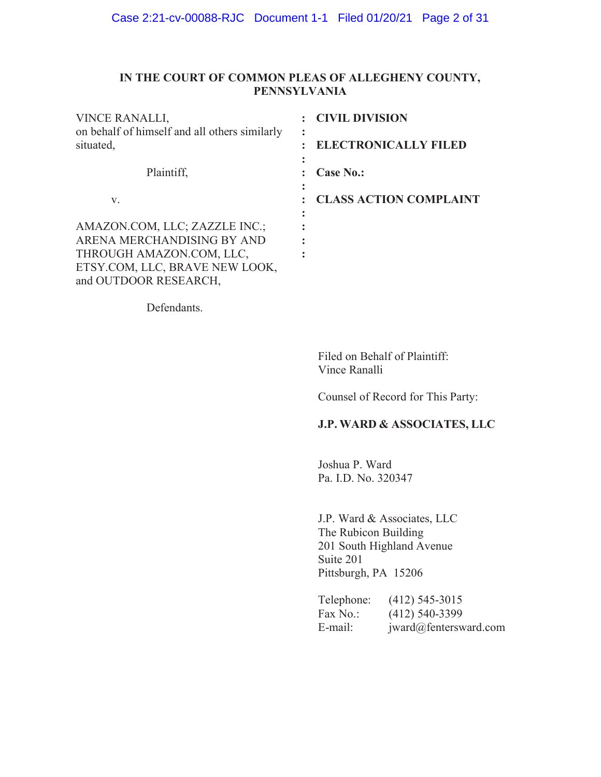#### IN THE COURT OF COMMON PLEAS OF ALLEGHENY COUNTY, **PENNSYLVANIA**

| VINCE RANALLI,                                             | <b>CIVIL DIVISION</b>            |
|------------------------------------------------------------|----------------------------------|
| on behalf of himself and all others similarly<br>situated, | ٠<br><b>ELECTRONICALLY FILED</b> |
| Plaintiff,                                                 | Case No.:                        |
| V.                                                         | <b>CLASS ACTION COMPLAINT</b>    |
| AMAZON.COM, LLC; ZAZZLE INC.;                              |                                  |
| ARENA MERCHANDISING BY AND                                 |                                  |
| THROUGH AMAZON.COM, LLC,                                   |                                  |
| ETSY.COM, LLC, BRAVE NEW LOOK,                             |                                  |
| and OUTDOOR RESEARCH,                                      |                                  |

Defendants.

Filed on Behalf of Plaintiff: Vince Ranalli

Counsel of Record for This Party:

## J.P. WARD & ASSOCIATES, LLC

Joshua P. Ward Pa. I.D. No. 320347

J.P. Ward & Associates, LLC The Rubicon Building 201 South Highland Avenue Suite 201 Pittsburgh, PA 15206

| Telephone: | $(412)$ 545-3015      |
|------------|-----------------------|
| Fax No.:   | $(412)$ 540-3399      |
| E-mail:    | jward@fentersward.com |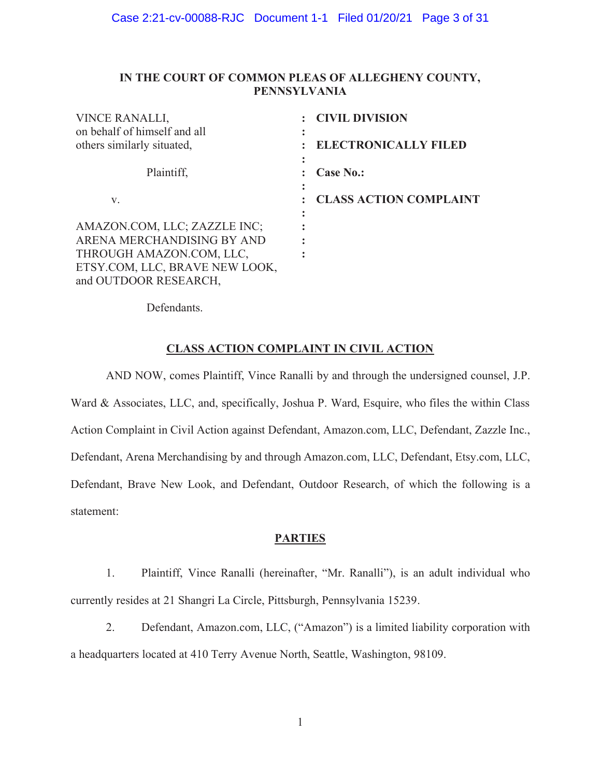#### IN THE COURT OF COMMON PLEAS OF ALLEGHENY COUNTY, **PENNSYLVANIA**

| <b>VINCE RANALLI,</b>          | <b>CIVIL DIVISION</b>         |
|--------------------------------|-------------------------------|
| on behalf of himself and all   |                               |
| others similarly situated,     | <b>ELECTRONICALLY FILED</b>   |
|                                |                               |
| Plaintiff,                     | <b>Case No.:</b>              |
|                                |                               |
| V.                             | <b>CLASS ACTION COMPLAINT</b> |
|                                |                               |
| AMAZON.COM, LLC; ZAZZLE INC;   |                               |
| ARENA MERCHANDISING BY AND     |                               |
| THROUGH AMAZON.COM, LLC,       |                               |
| ETSY.COM, LLC, BRAVE NEW LOOK, |                               |
| and OUTDOOR RESEARCH,          |                               |

Defendants.

#### **CLASS ACTION COMPLAINT IN CIVIL ACTION**

AND NOW, comes Plaintiff, Vince Ranalli by and through the undersigned counsel, J.P. Ward & Associates, LLC, and, specifically, Joshua P. Ward, Esquire, who files the within Class Action Complaint in Civil Action against Defendant, Amazon.com, LLC, Defendant, Zazzle Inc., Defendant, Arena Merchandising by and through Amazon.com, LLC, Defendant, Etsy.com, LLC, Defendant, Brave New Look, and Defendant, Outdoor Research, of which the following is a statement:

#### **PARTIES**

Plaintiff, Vince Ranalli (hereinafter, "Mr. Ranalli"), is an adult individual who  $1<sub>1</sub>$ currently resides at 21 Shangri La Circle, Pittsburgh, Pennsylvania 15239.

 $2.$ Defendant, Amazon.com, LLC, ("Amazon") is a limited liability corporation with a headquarters located at 410 Terry Avenue North, Seattle, Washington, 98109.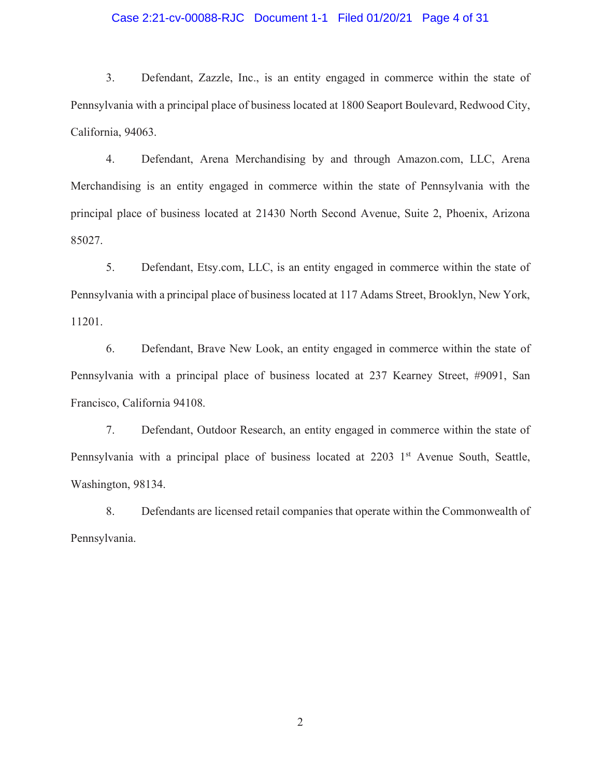#### Case 2:21-cv-00088-RJC Document 1-1 Filed 01/20/21 Page 4 of 31

3. Defendant, Zazzle, Inc., is an entity engaged in commerce within the state of Pennsylvania with a principal place of business located at 1800 Seaport Boulevard, Redwood City, California, 94063.

4. Defendant, Arena Merchandising by and through Amazon.com, LLC, Arena Merchandising is an entity engaged in commerce within the state of Pennsylvania with the principal place of business located at 21430 North Second Avenue, Suite 2, Phoenix, Arizona 85027.

5. Defendant, Etsy.com, LLC, is an entity engaged in commerce within the state of Pennsylvania with a principal place of business located at 117 Adams Street, Brooklyn, New York, 11201.

6. Defendant, Brave New Look, an entity engaged in commerce within the state of Pennsylvania with a principal place of business located at 237 Kearney Street, #9091, San Francisco, California 94108.

7. Defendant, Outdoor Research, an entity engaged in commerce within the state of Pennsylvania with a principal place of business located at 2203 1<sup>st</sup> Avenue South, Seattle, Washington, 98134.

8. Defendants are licensed retail companies that operate within the Commonwealth of Pennsylvania.

 $\overline{2}$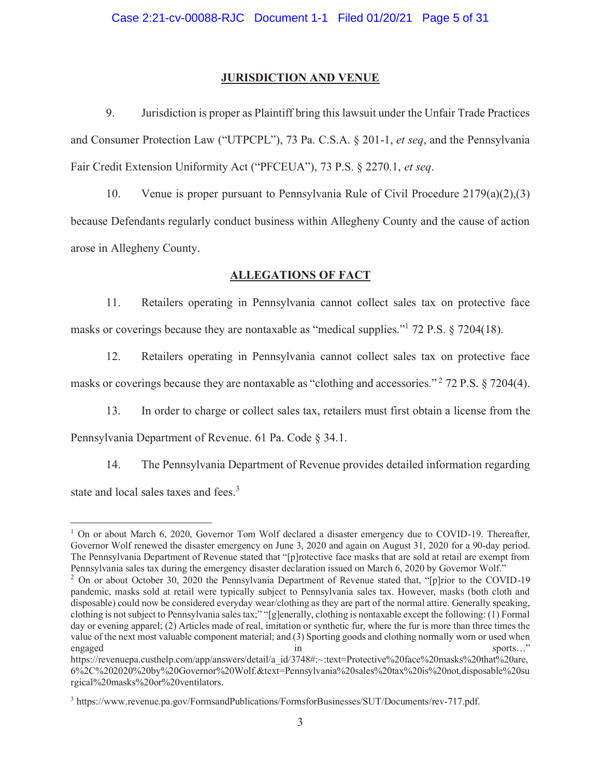#### **JURISDICTION AND VENUE**

9. Jurisdiction is proper as Plaintiff bring this lawsuit under the Unfair Trade Practices and Consumer Protection Law ("UTPCPL"), 73 Pa. C.S.A. § 201-1, et seq, and the Pennsylvania Fair Credit Extension Uniformity Act ("PFCEUA"), 73 P.S. § 2270.1, et seq.

10. Venue is proper pursuant to Pennsylvania Rule of Civil Procedure  $2179(a)(2),(3)$ because Defendants regularly conduct business within Allegheny County and the cause of action arose in Allegheny County.

#### **ALLEGATIONS OF FACT**

11. Retailers operating in Pennsylvania cannot collect sales tax on protective face masks or coverings because they are nontaxable as "medical supplies." 72 P.S. § 7204(18).

12. Retailers operating in Pennsylvania cannot collect sales tax on protective face masks or coverings because they are nontaxable as "clothing and accessories."  $2$  72 P.S. § 7204(4).

 $13.$ In order to charge or collect sales tax, retailers must first obtain a license from the Pennsylvania Department of Revenue. 61 Pa. Code § 34.1.

14. The Pennsylvania Department of Revenue provides detailed information regarding state and local sales taxes and fees.<sup>3</sup>

<sup>&</sup>lt;sup>1</sup> On or about March 6, 2020, Governor Tom Wolf declared a disaster emergency due to COVID-19. Thereafter, Governor Wolf renewed the disaster emergency on June 3, 2020 and again on August 31, 2020 for a 90-day period. The Pennsylvania Department of Revenue stated that "[p] rotective face masks that are sold at retail are exempt from Pennsylvania sales tax during the emergency disaster declaration issued on March 6, 2020 by Governor Wolf."

<sup>&</sup>lt;sup>2</sup> On or about October 30, 2020 the Pennsylvania Department of Revenue stated that, "[p]rior to the COVID-19 pandemic, masks sold at retail were typically subject to Pennsylvania sales tax. However, masks (both cloth and disposable) could now be considered everyday wear/clothing as they are part of the normal attire. Generally speaking, clothing is not subject to Pennsylvania sales tax;" "[g]enerally, clothing is nontaxable except the following: (1) Formal day or evening apparel; (2) Articles made of real, imitation or synthetic fur, where the fur is more than three times the value of the next most valuable component material; and (3) Sporting goods and clothing normally worn or used when engaged in sports..."

https://revenuepa.custhelp.com/app/answers/detail/a id/3748#:~:text=Protective%20face%20masks%20that%20are, 6%2C%202020%20by%20Governor%20Wolf.&text=Pennsylvania%20sales%20tax%20is%20not,disposable%20su rgical%20masks%20or%20ventilators.

<sup>&</sup>lt;sup>3</sup> https://www.revenue.pa.gov/FormsandPublications/FormsforBusinesses/SUT/Documents/rev-717.pdf.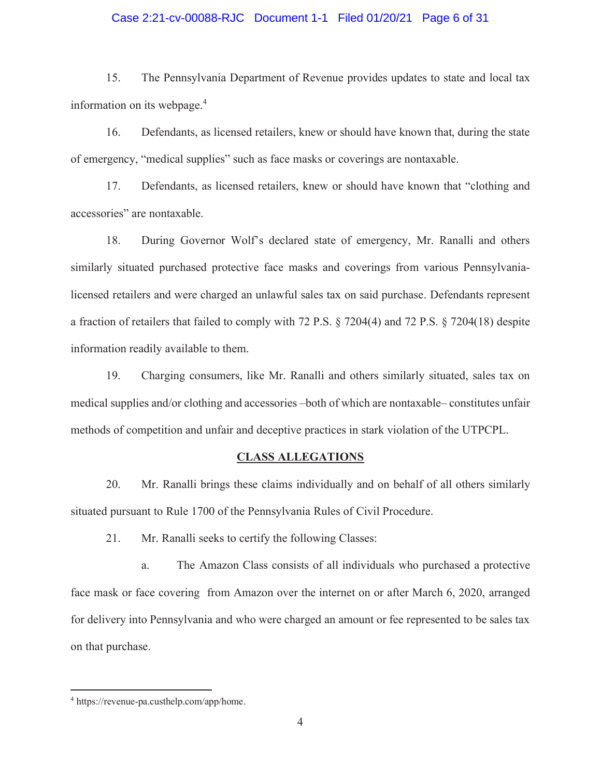#### Case 2:21-cv-00088-RJC Document 1-1 Filed 01/20/21 Page 6 of 31

15. The Pennsylvania Department of Revenue provides updates to state and local tax information on its webpage.<sup>4</sup>

16. Defendants, as licensed retailers, knew or should have known that, during the state of emergency, "medical supplies" such as face masks or coverings are nontaxable.

17. Defendants, as licensed retailers, knew or should have known that "clothing and accessories" are nontaxable.

18. During Governor Wolf's declared state of emergency, Mr. Ranalli and others similarly situated purchased protective face masks and coverings from various Pennsylvanialicensed retailers and were charged an unlawful sales tax on said purchase. Defendants represent a fraction of retailers that failed to comply with 72 P.S. § 7204(4) and 72 P.S. § 7204(18) despite information readily available to them.

19. Charging consumers, like Mr. Ranalli and others similarly situated, sales tax on medical supplies and/or clothing and accessories -both of which are nontaxable-constitutes unfair methods of competition and unfair and deceptive practices in stark violation of the UTPCPL.

#### **CLASS ALLEGATIONS**

Mr. Ranalli brings these claims individually and on behalf of all others similarly 20. situated pursuant to Rule 1700 of the Pennsylvania Rules of Civil Procedure.

21. Mr. Ranalli seeks to certify the following Classes:

The Amazon Class consists of all individuals who purchased a protective a. face mask or face covering from Amazon over the internet on or after March 6, 2020, arranged for delivery into Pennsylvania and who were charged an amount or fee represented to be sales tax on that purchase.

<sup>&</sup>lt;sup>4</sup> https://revenue-pa.custhelp.com/app/home.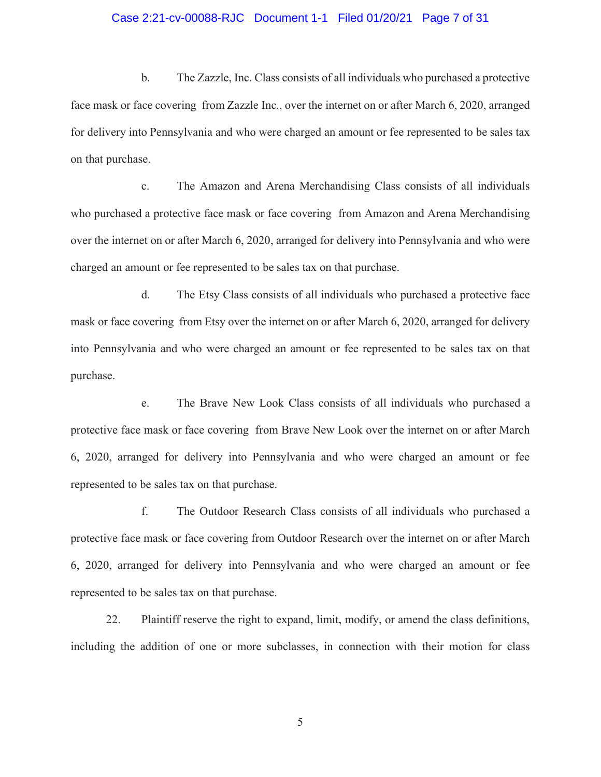#### Case 2:21-cv-00088-RJC Document 1-1 Filed 01/20/21 Page 7 of 31

 $\mathbf{b}$ . The Zazzle, Inc. Class consists of all individuals who purchased a protective face mask or face covering from Zazzle Inc., over the internet on or after March 6, 2020, arranged for delivery into Pennsylvania and who were charged an amount or fee represented to be sales tax on that purchase.

The Amazon and Arena Merchandising Class consists of all individuals  $\mathbf{c}$ . who purchased a protective face mask or face covering from Amazon and Arena Merchandising over the internet on or after March 6, 2020, arranged for delivery into Pennsylvania and who were charged an amount or fee represented to be sales tax on that purchase.

The Etsy Class consists of all individuals who purchased a protective face d. mask or face covering from Etsy over the internet on or after March 6, 2020, arranged for delivery into Pennsylvania and who were charged an amount or fee represented to be sales tax on that purchase.

The Brave New Look Class consists of all individuals who purchased a e. protective face mask or face covering from Brave New Look over the internet on or after March 6, 2020, arranged for delivery into Pennsylvania and who were charged an amount or fee represented to be sales tax on that purchase.

 $f_{\cdot}$ The Outdoor Research Class consists of all individuals who purchased a protective face mask or face covering from Outdoor Research over the internet on or after March 6, 2020, arranged for delivery into Pennsylvania and who were charged an amount or fee represented to be sales tax on that purchase.

22. Plaintiff reserve the right to expand, limit, modify, or amend the class definitions, including the addition of one or more subclasses, in connection with their motion for class

5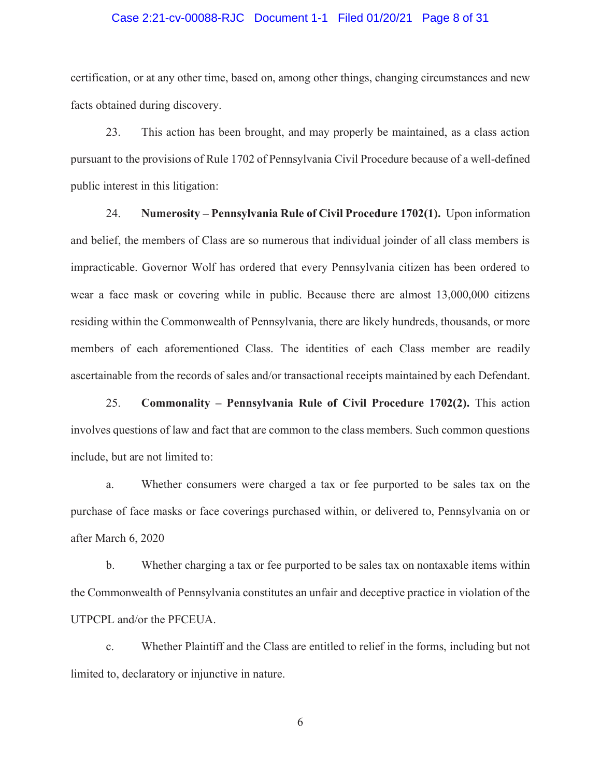#### Case 2:21-cv-00088-RJC Document 1-1 Filed 01/20/21 Page 8 of 31

certification, or at any other time, based on, among other things, changing circumstances and new facts obtained during discovery.

23. This action has been brought, and may properly be maintained, as a class action pursuant to the provisions of Rule 1702 of Pennsylvania Civil Procedure because of a well-defined public interest in this litigation:

24. Numerosity – Pennsylvania Rule of Civil Procedure 1702(1). Upon information and belief, the members of Class are so numerous that individual joinder of all class members is impracticable. Governor Wolf has ordered that every Pennsylvania citizen has been ordered to wear a face mask or covering while in public. Because there are almost 13,000,000 citizens residing within the Commonwealth of Pennsylvania, there are likely hundreds, thousands, or more members of each aforementioned Class. The identities of each Class member are readily ascertainable from the records of sales and/or transactional receipts maintained by each Defendant.

25. **Commonality – Pennsylvania Rule of Civil Procedure 1702(2).** This action involves questions of law and fact that are common to the class members. Such common questions include, but are not limited to:

a. Whether consumers were charged a tax or fee purported to be sales tax on the purchase of face masks or face coverings purchased within, or delivered to, Pennsylvania on or after March 6, 2020

b. Whether charging a tax or fee purported to be sales tax on nontaxable items within the Commonwealth of Pennsylvania constitutes an unfair and deceptive practice in violation of the UTPCPL and/or the PFCEUA.

c. Whether Plaintiff and the Class are entitled to relief in the forms, including but not limited to, declaratory or injunctive in nature.

6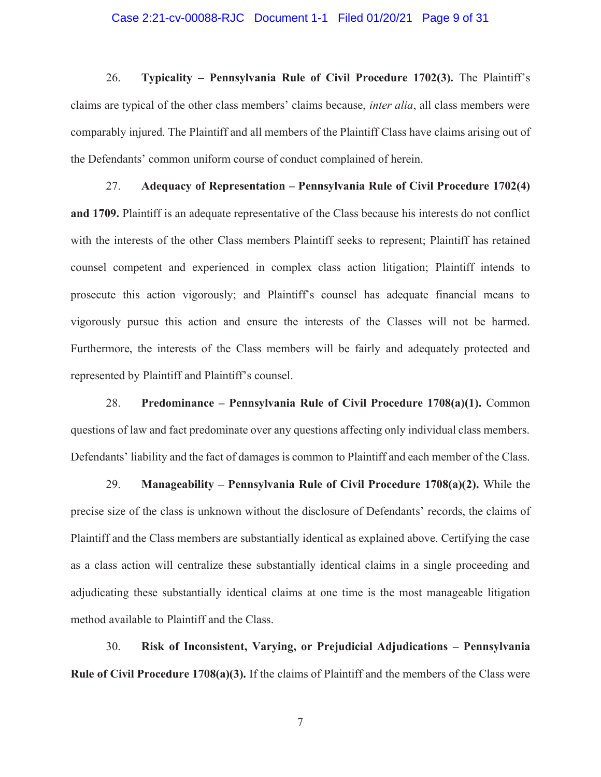#### Case 2:21-cv-00088-RJC Document 1-1 Filed 01/20/21 Page 9 of 31

26. Typicality - Pennsylvania Rule of Civil Procedure 1702(3). The Plaintiff's claims are typical of the other class members' claims because, *inter alia*, all class members were comparably injured. The Plaintiff and all members of the Plaintiff Class have claims arising out of the Defendants' common uniform course of conduct complained of herein.

27. Adequacy of Representation – Pennsylvania Rule of Civil Procedure 1702(4) and 1709. Plaintiff is an adequate representative of the Class because his interests do not conflict with the interests of the other Class members Plaintiff seeks to represent; Plaintiff has retained counsel competent and experienced in complex class action litigation; Plaintiff intends to prosecute this action vigorously; and Plaintiff's counsel has adequate financial means to vigorously pursue this action and ensure the interests of the Classes will not be harmed. Furthermore, the interests of the Class members will be fairly and adequately protected and represented by Plaintiff and Plaintiff's counsel.

28. Predominance – Pennsylvania Rule of Civil Procedure 1708(a)(1). Common questions of law and fact predominate over any questions affecting only individual class members. Defendants' liability and the fact of damages is common to Plaintiff and each member of the Class.

29. Manageability – Pennsylvania Rule of Civil Procedure  $1708(a)(2)$ . While the precise size of the class is unknown without the disclosure of Defendants' records, the claims of Plaintiff and the Class members are substantially identical as explained above. Certifying the case as a class action will centralize these substantially identical claims in a single proceeding and adjudicating these substantially identical claims at one time is the most manageable litigation method available to Plaintiff and the Class.

30. Risk of Inconsistent, Varying, or Prejudicial Adjudications - Pennsylvania **Rule of Civil Procedure 1708(a)(3).** If the claims of Plaintiff and the members of the Class were

 $\boldsymbol{7}$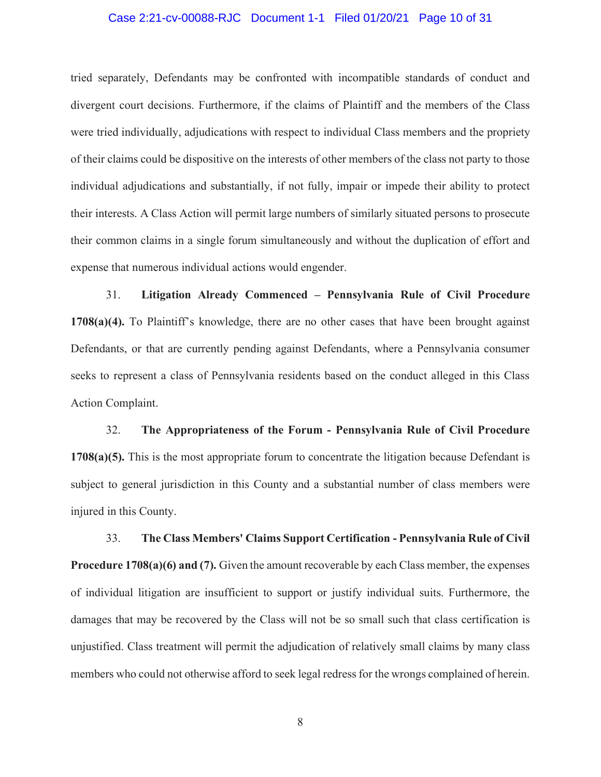#### Case 2:21-cv-00088-RJC Document 1-1 Filed 01/20/21 Page 10 of 31

tried separately, Defendants may be confronted with incompatible standards of conduct and divergent court decisions. Furthermore, if the claims of Plaintiff and the members of the Class were tried individually, adjudications with respect to individual Class members and the propriety of their claims could be dispositive on the interests of other members of the class not party to those individual adjudications and substantially, if not fully, impair or impede their ability to protect their interests. A Class Action will permit large numbers of similarly situated persons to prosecute their common claims in a single forum simultaneously and without the duplication of effort and expense that numerous individual actions would engender.

Litigation Already Commenced - Pennsylvania Rule of Civil Procedure 31.  $1708(a)(4)$ . To Plaintiff's knowledge, there are no other cases that have been brought against Defendants, or that are currently pending against Defendants, where a Pennsylvania consumer seeks to represent a class of Pennsylvania residents based on the conduct alleged in this Class Action Complaint.

32. The Appropriateness of the Forum - Pennsylvania Rule of Civil Procedure  $1708(a)(5)$ . This is the most appropriate forum to concentrate the litigation because Defendant is subject to general jurisdiction in this County and a substantial number of class members were injured in this County.

33. The Class Members' Claims Support Certification - Pennsylvania Rule of Civil **Procedure 1708(a)(6) and (7).** Given the amount recoverable by each Class member, the expenses of individual litigation are insufficient to support or justify individual suits. Furthermore, the damages that may be recovered by the Class will not be so small such that class certification is unjustified. Class treatment will permit the adjudication of relatively small claims by many class members who could not otherwise afford to seek legal redress for the wrongs complained of herein.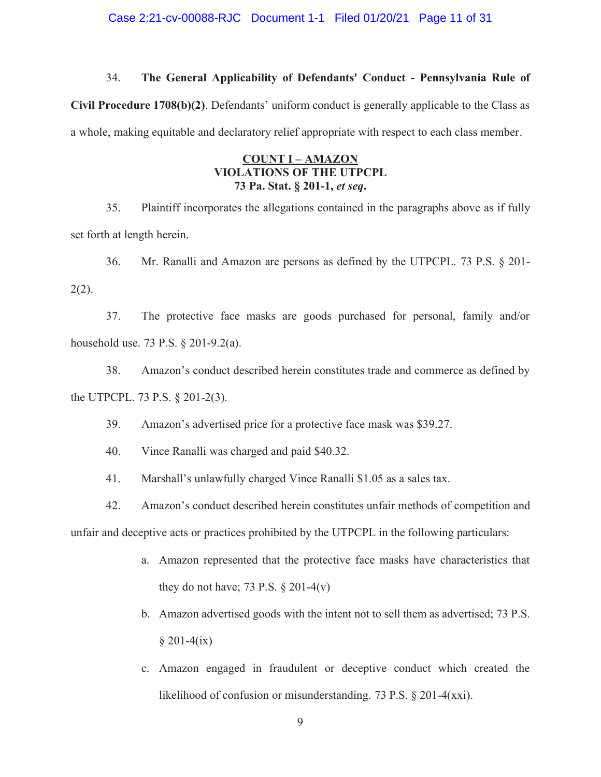#### Case 2:21-cv-00088-RJC Document 1-1 Filed 01/20/21 Page 11 of 31

#### 34. The General Applicability of Defendants' Conduct - Pennsylvania Rule of

Civil Procedure 1708(b)(2). Defendants' uniform conduct is generally applicable to the Class as a whole, making equitable and declaratory relief appropriate with respect to each class member.

#### **COUNT I - AMAZON** VIOLATIONS OF THE UTPCPL 73 Pa. Stat. § 201-1, et seq.

35. Plaintiff incorporates the allegations contained in the paragraphs above as if fully set forth at length herein.

36. Mr. Ranalli and Amazon are persons as defined by the UTPCPL. 73 P.S.  $\S$  201- $2(2)$ .

37. The protective face masks are goods purchased for personal, family and/or household use. 73 P.S.  $\S 201-9.2(a)$ .

38. Amazon's conduct described herein constitutes trade and commerce as defined by the UTPCPL. 73 P.S.  $\S 201-2(3)$ .

- 39. Amazon's advertised price for a protective face mask was \$39.27.
- 40. Vince Ranalli was charged and paid \$40.32.
- 41. Marshall's unlawfully charged Vince Ranalli \$1.05 as a sales tax.
- 42. Amazon's conduct described herein constitutes unfair methods of competition and

unfair and deceptive acts or practices prohibited by the UTPCPL in the following particulars:

- a. Amazon represented that the protective face masks have characteristics that they do not have; 73 P.S.  $\S 201-4(v)$
- b. Amazon advertised goods with the intent not to sell them as advertised; 73 P.S.  $$201-4(ix)$
- c. Amazon engaged in fraudulent or deceptive conduct which created the likelihood of confusion or misunderstanding. 73 P.S.  $\S 201-4(xxi)$ .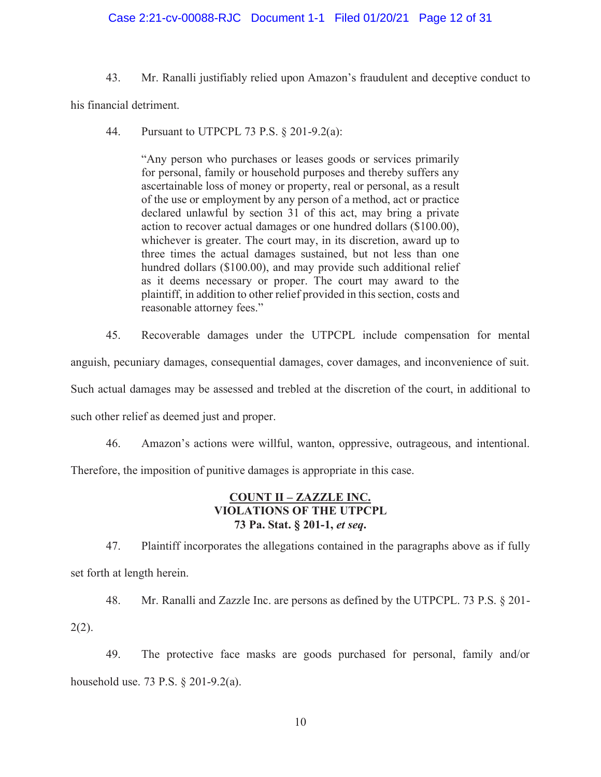#### Case 2:21-cv-00088-RJC Document 1-1 Filed 01/20/21 Page 12 of 31

43. Mr. Ranalli justifiably relied upon Amazon's fraudulent and deceptive conduct to

his financial detriment.

 $44<sup>2</sup>$ Pursuant to UTPCPL 73 P.S. § 201-9.2(a):

> "Any person who purchases or leases goods or services primarily for personal, family or household purposes and thereby suffers any ascertainable loss of money or property, real or personal, as a result of the use or employment by any person of a method, act or practice declared unlawful by section 31 of this act, may bring a private action to recover actual damages or one hundred dollars (\$100.00), whichever is greater. The court may, in its discretion, award up to three times the actual damages sustained, but not less than one hundred dollars (\$100.00), and may provide such additional relief as it deems necessary or proper. The court may award to the plaintiff, in addition to other relief provided in this section, costs and reasonable attorney fees."

45. Recoverable damages under the UTPCPL include compensation for mental anguish, pecuniary damages, consequential damages, cover damages, and inconvenience of suit. Such actual damages may be assessed and trebled at the discretion of the court, in additional to such other relief as deemed just and proper.

46. Amazon's actions were willful, wanton, oppressive, outrageous, and intentional.

Therefore, the imposition of punitive damages is appropriate in this case.

#### **COUNT II - ZAZZLE INC. VIOLATIONS OF THE UTPCPL** 73 Pa. Stat. § 201-1, et seq.

47. Plaintiff incorporates the allegations contained in the paragraphs above as if fully set forth at length herein.

48. Mr. Ranalli and Zazzle Inc. are persons as defined by the UTPCPL. 73 P.S.  $\S$  201- $2(2)$ .

49. The protective face masks are goods purchased for personal, family and/or household use, 73 P.S.  $\&$  201-9.2(a).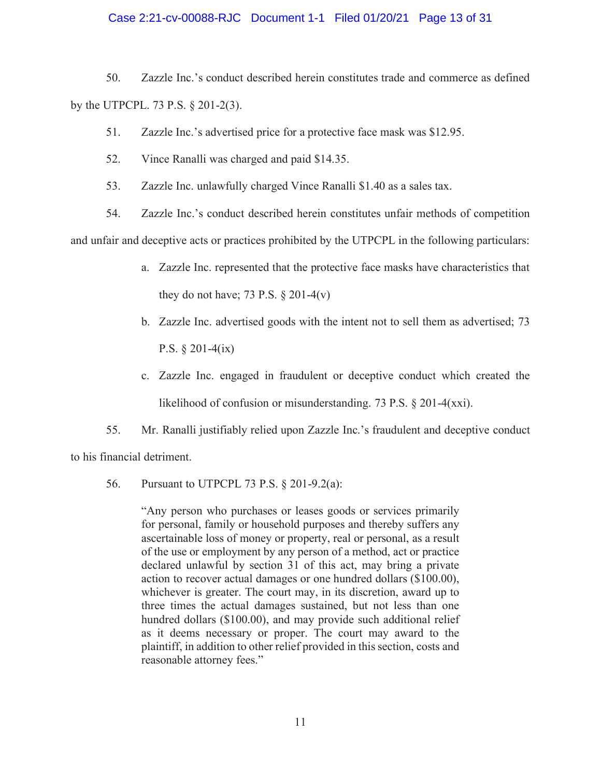#### Case 2:21-cv-00088-RJC Document 1-1 Filed 01/20/21 Page 13 of 31

50. Zazzle Inc.'s conduct described herein constitutes trade and commerce as defined by the UTPCPL. 73 P.S.  $\S 201-2(3)$ .

- 51. Zazzle Inc.'s advertised price for a protective face mask was \$12.95.
- 52. Vince Ranalli was charged and paid \$14.35.
- 53. Zazzle Inc. unlawfully charged Vince Ranalli \$1.40 as a sales tax.
- 54. Zazzle Inc.'s conduct described herein constitutes unfair methods of competition and unfair and deceptive acts or practices prohibited by the UTPCPL in the following particulars:
	- a. Zazzle Inc. represented that the protective face masks have characteristics that they do not have; 73 P.S.  $\S 201-4(v)$
	- b. Zazzle Inc. advertised goods with the intent not to sell them as advertised; 73 P.S.  $\S 201-4(ix)$
	- c. Zazzle Inc. engaged in fraudulent or deceptive conduct which created the likelihood of confusion or misunderstanding. 73 P.S.  $\S 201-4(xxi)$ .

55. Mr. Ranalli justifiably relied upon Zazzle Inc.'s fraudulent and deceptive conduct

to his financial detriment.

56. Pursuant to UTPCPL 73 P.S.  $\S$  201-9.2(a):

"Any person who purchases or leases goods or services primarily for personal, family or household purposes and thereby suffers any ascertainable loss of money or property, real or personal, as a result of the use or employment by any person of a method, act or practice declared unlawful by section 31 of this act, may bring a private action to recover actual damages or one hundred dollars  $(\$100.00)$ , whichever is greater. The court may, in its discretion, award up to three times the actual damages sustained, but not less than one hundred dollars ( $$100.00$ ), and may provide such additional relief as it deems necessary or proper. The court may award to the plaintiff, in addition to other relief provided in this section, costs and reasonable attorney fees."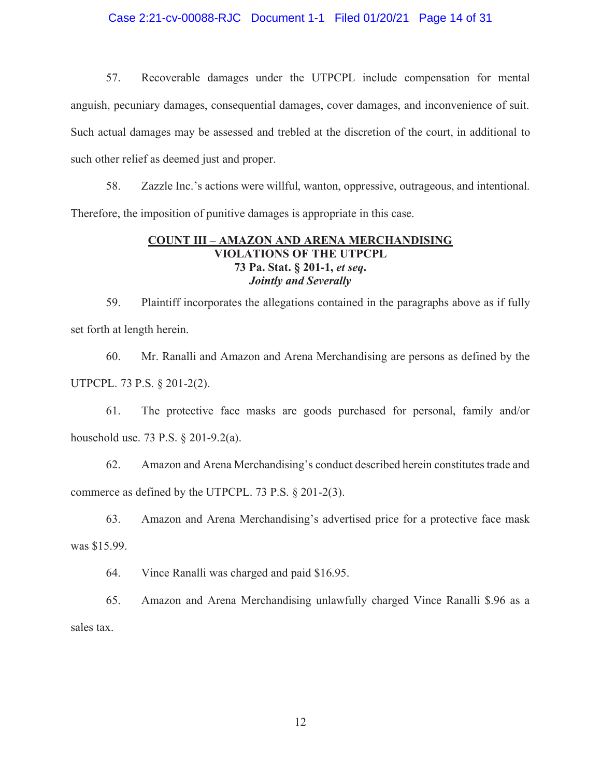#### Case 2:21-cv-00088-RJC Document 1-1 Filed 01/20/21 Page 14 of 31

57. Recoverable damages under the UTPCPL include compensation for mental anguish, pecuniary damages, consequential damages, cover damages, and inconvenience of suit. Such actual damages may be assessed and trebled at the discretion of the court, in additional to such other relief as deemed just and proper.

58. Zazzle Inc.'s actions were willful, wanton, oppressive, outrageous, and intentional. Therefore, the imposition of punitive damages is appropriate in this case.

#### **COUNT III - AMAZON AND ARENA MERCHANDISING VIOLATIONS OF THE UTPCPL** 73 Pa. Stat. § 201-1, et seq. **Jointly and Severally**

59. Plaintiff incorporates the allegations contained in the paragraphs above as if fully set forth at length herein.

60. Mr. Ranalli and Amazon and Arena Merchandising are persons as defined by the UTPCPL. 73 P.S. § 201-2(2).

The protective face masks are goods purchased for personal, family and/or 61. household use. 73 P.S.  $\S 201-9.2(a)$ .

62. Amazon and Arena Merchandising's conduct described herein constitutes trade and commerce as defined by the UTPCPL. 73 P.S. § 201-2(3).

63. Amazon and Arena Merchandising's advertised price for a protective face mask was \$15.99.

64. Vince Ranalli was charged and paid \$16.95.

65. Amazon and Arena Merchandising unlawfully charged Vince Ranalli \$.96 as a sales tax.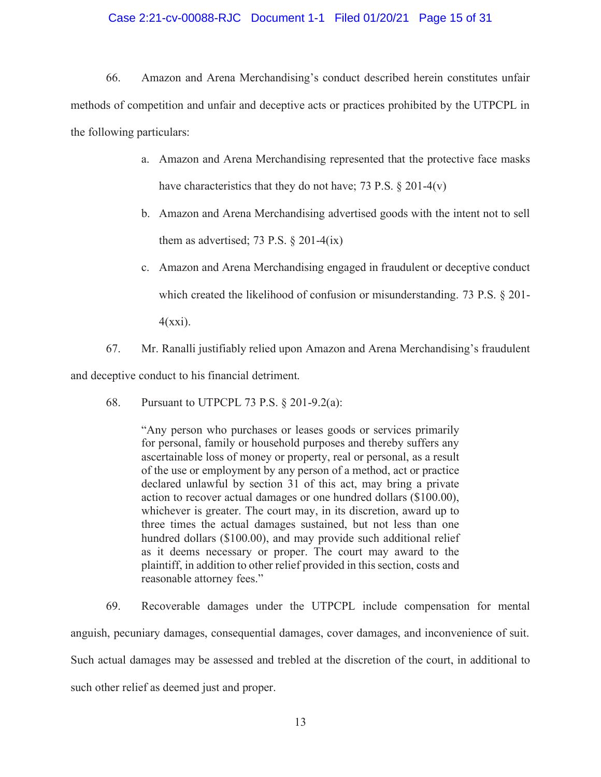#### Case 2:21-cv-00088-RJC Document 1-1 Filed 01/20/21 Page 15 of 31

66. Amazon and Arena Merchandising's conduct described herein constitutes unfair methods of competition and unfair and deceptive acts or practices prohibited by the UTPCPL in the following particulars:

- a. Amazon and Arena Merchandising represented that the protective face masks have characteristics that they do not have; 73 P.S.  $\S 201-4(v)$
- b. Amazon and Arena Merchandising advertised goods with the intent not to sell them as advertised; 73 P.S.  $\S 201-4(ix)$
- c. Amazon and Arena Merchandising engaged in fraudulent or deceptive conduct which created the likelihood of confusion or misunderstanding. 73 P.S.  $\S$  201-

 $4(xxi)$ .

67. Mr. Ranalli justifiably relied upon Amazon and Arena Merchandising's fraudulent

and deceptive conduct to his financial detriment.

68. Pursuant to UTPCPL 73 P.S.  $\S$  201-9.2(a):

> "Any person who purchases or leases goods or services primarily for personal, family or household purposes and thereby suffers any ascertainable loss of money or property, real or personal, as a result of the use or employment by any person of a method, act or practice declared unlawful by section 31 of this act, may bring a private action to recover actual damages or one hundred dollars (\$100.00), whichever is greater. The court may, in its discretion, award up to three times the actual damages sustained, but not less than one hundred dollars (\$100.00), and may provide such additional relief as it deems necessary or proper. The court may award to the plaintiff, in addition to other relief provided in this section, costs and reasonable attorney fees."

69. Recoverable damages under the UTPCPL include compensation for mental anguish, pecuniary damages, consequential damages, cover damages, and inconvenience of suit. Such actual damages may be assessed and trebled at the discretion of the court, in additional to such other relief as deemed just and proper.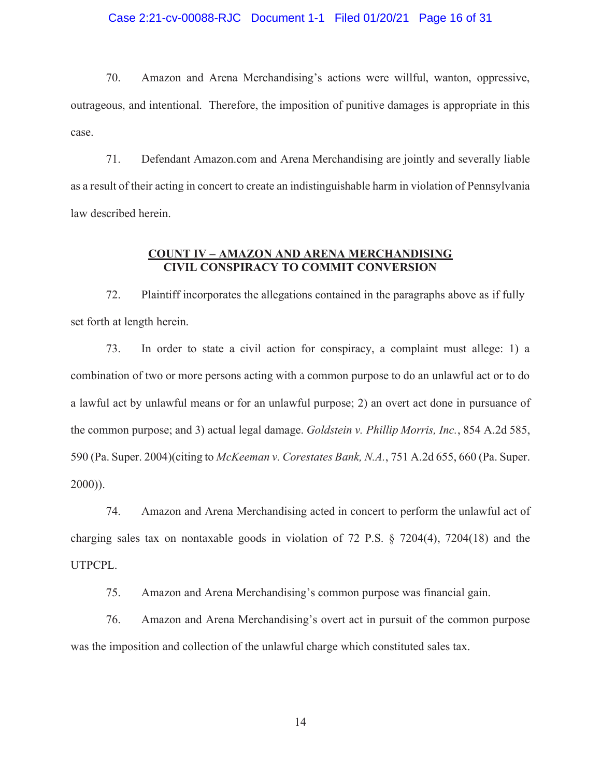#### Case 2:21-cv-00088-RJC Document 1-1 Filed 01/20/21 Page 16 of 31

70. Amazon and Arena Merchandising's actions were willful, wanton, oppressive, outrageous, and intentional. Therefore, the imposition of punitive damages is appropriate in this case.

71. Defendant Amazon.com and Arena Merchandising are jointly and severally liable as a result of their acting in concert to create an indistinguishable harm in violation of Pennsylvania law described herein.

#### **COUNT IV - AMAZON AND ARENA MERCHANDISING CIVIL CONSPIRACY TO COMMIT CONVERSION**

72. Plaintiff incorporates the allegations contained in the paragraphs above as if fully set forth at length herein.

73. In order to state a civil action for conspiracy, a complaint must allege: 1) a combination of two or more persons acting with a common purpose to do an unlawful act or to do a lawful act by unlawful means or for an unlawful purpose; 2) an overt act done in pursuance of the common purpose; and 3) actual legal damage. Goldstein v. Phillip Morris, Inc., 854 A.2d 585, 590 (Pa. Super. 2004) (citing to McKeeman v. Corestates Bank, N.A., 751 A.2d 655, 660 (Pa. Super.  $2000)$ ).

74. Amazon and Arena Merchandising acted in concert to perform the unlawful act of charging sales tax on nontaxable goods in violation of 72 P.S.  $\S$  7204(4), 7204(18) and the UTPCPL.

75. Amazon and Arena Merchandising's common purpose was financial gain.

76. Amazon and Arena Merchandising's overt act in pursuit of the common purpose was the imposition and collection of the unlawful charge which constituted sales tax.

14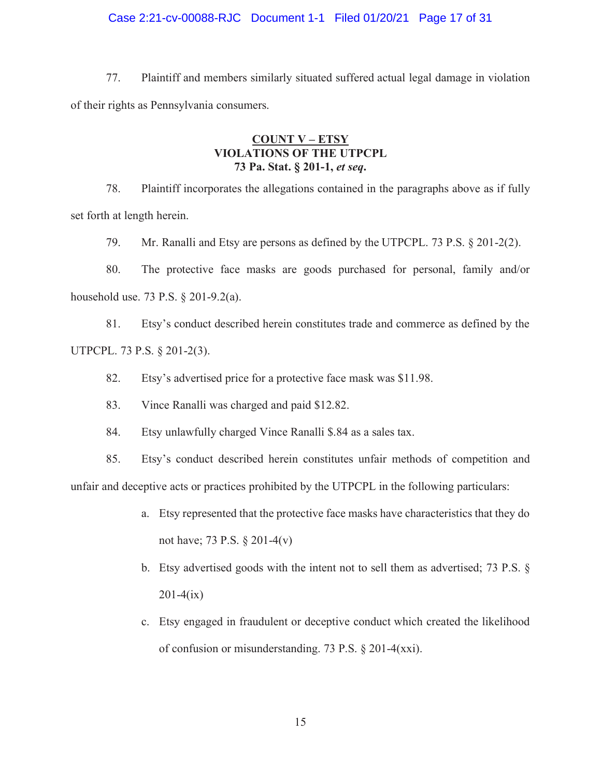#### Case 2:21-cv-00088-RJC Document 1-1 Filed 01/20/21 Page 17 of 31

77. Plaintiff and members similarly situated suffered actual legal damage in violation of their rights as Pennsylvania consumers.

#### **COUNT V - ETSY VIOLATIONS OF THE UTPCPL** 73 Pa. Stat. § 201-1, et seq.

78. Plaintiff incorporates the allegations contained in the paragraphs above as if fully set forth at length herein.

79. Mr. Ranalli and Etsy are persons as defined by the UTPCPL. 73 P.S. § 201-2(2).

80. The protective face masks are goods purchased for personal, family and/or household use. 73 P.S.  $\S 201-9.2(a)$ .

81. Etsy's conduct described herein constitutes trade and commerce as defined by the UTPCPL. 73 P.S. § 201-2(3).

82. Etsy's advertised price for a protective face mask was \$11.98.

83. Vince Ranalli was charged and paid \$12.82.

84. Etsy unlawfully charged Vince Ranalli \$.84 as a sales tax.

85. Etsy's conduct described herein constitutes unfair methods of competition and unfair and deceptive acts or practices prohibited by the UTPCPL in the following particulars:

- a. Etsy represented that the protective face masks have characteristics that they do not have; 73 P.S.  $\S 201-4(v)$
- b. Etsy advertised goods with the intent not to sell them as advertised;  $73$  P.S.  $\S$  $201-4(ix)$
- c. Etsy engaged in fraudulent or deceptive conduct which created the likelihood of confusion or misunderstanding. 73 P.S. § 201-4(xxi).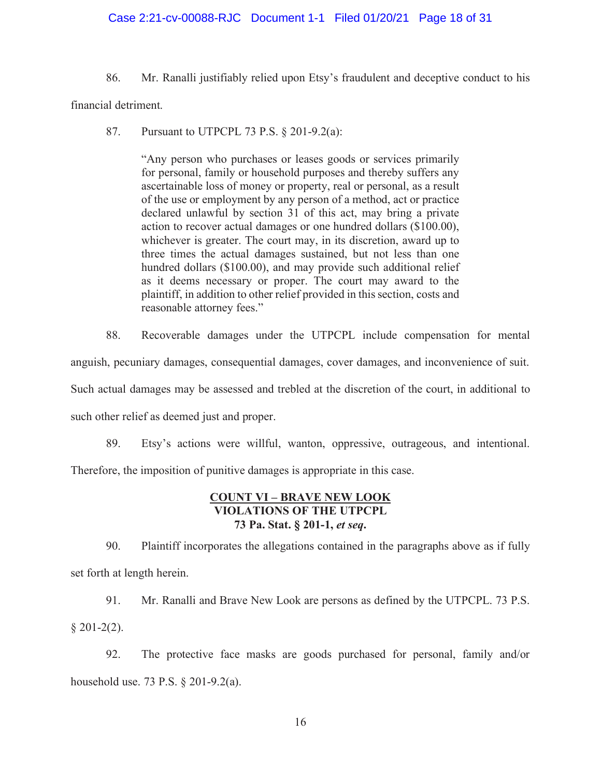#### Case 2:21-cv-00088-RJC Document 1-1 Filed 01/20/21 Page 18 of 31

86. Mr. Ranalli justifiably relied upon Etsy's fraudulent and deceptive conduct to his

financial detriment.

87. Pursuant to UTPCPL 73 P.S. § 201-9.2(a):

> "Any person who purchases or leases goods or services primarily for personal, family or household purposes and thereby suffers any ascertainable loss of money or property, real or personal, as a result of the use or employment by any person of a method, act or practice declared unlawful by section 31 of this act, may bring a private action to recover actual damages or one hundred dollars (\$100.00), whichever is greater. The court may, in its discretion, award up to three times the actual damages sustained, but not less than one hundred dollars (\$100.00), and may provide such additional relief as it deems necessary or proper. The court may award to the plaintiff, in addition to other relief provided in this section, costs and reasonable attorney fees."

88. Recoverable damages under the UTPCPL include compensation for mental anguish, pecuniary damages, consequential damages, cover damages, and inconvenience of suit. Such actual damages may be assessed and trebled at the discretion of the court, in additional to such other relief as deemed just and proper.

89. Etsy's actions were willful, wanton, oppressive, outrageous, and intentional.

Therefore, the imposition of punitive damages is appropriate in this case.

#### **COUNT VI - BRAVE NEW LOOK VIOLATIONS OF THE UTPCPL** 73 Pa. Stat. § 201-1, et seq.

90. Plaintiff incorporates the allegations contained in the paragraphs above as if fully set forth at length herein.

91. Mr. Ranalli and Brave New Look are persons as defined by the UTPCPL. 73 P.S.  $§$  201-2(2).

92. The protective face masks are goods purchased for personal, family and/or household use, 73 P.S.  $\&$  201-9.2(a).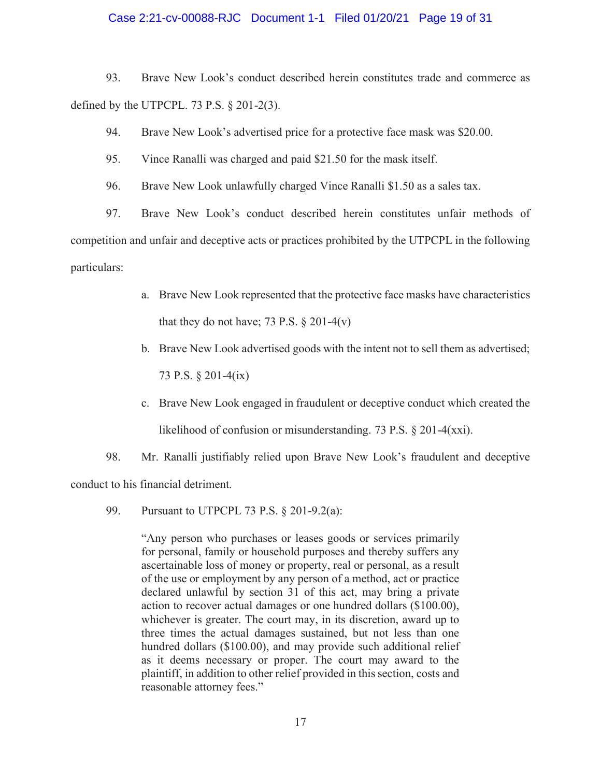#### Case 2:21-cv-00088-RJC Document 1-1 Filed 01/20/21 Page 19 of 31

93. Brave New Look's conduct described herein constitutes trade and commerce as defined by the UTPCPL. 73 P.S.  $\S$  201-2(3).

94. Brave New Look's advertised price for a protective face mask was \$20.00.

- 95. Vince Ranalli was charged and paid \$21.50 for the mask itself.
- 96. Brave New Look unlawfully charged Vince Ranalli \$1.50 as a sales tax.

97. Brave New Look's conduct described herein constitutes unfair methods of competition and unfair and deceptive acts or practices prohibited by the UTPCPL in the following particulars:

- a. Brave New Look represented that the protective face masks have characteristics that they do not have; 73 P.S.  $\S 201-4(v)$
- b. Brave New Look advertised goods with the intent not to sell them as advertised; 73 P.S. § 201-4(ix)
- c. Brave New Look engaged in fraudulent or deceptive conduct which created the likelihood of confusion or misunderstanding. 73 P.S.  $\S 201-4(xxi)$ .
- 98. Mr. Ranalli justifiably relied upon Brave New Look's fraudulent and deceptive

conduct to his financial detriment.

99. Pursuant to UTPCPL 73 P.S.  $\S$  201-9.2(a):

> "Any person who purchases or leases goods or services primarily for personal, family or household purposes and thereby suffers any ascertainable loss of money or property, real or personal, as a result of the use or employment by any person of a method, act or practice declared unlawful by section 31 of this act, may bring a private action to recover actual damages or one hundred dollars (\$100.00), whichever is greater. The court may, in its discretion, award up to three times the actual damages sustained, but not less than one hundred dollars (\$100.00), and may provide such additional relief as it deems necessary or proper. The court may award to the plaintiff, in addition to other relief provided in this section, costs and reasonable attorney fees."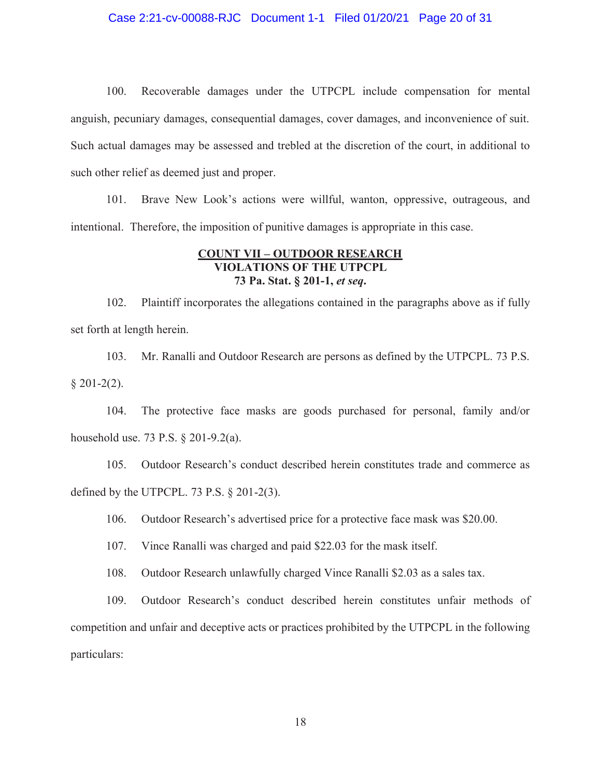#### Case 2:21-cv-00088-RJC Document 1-1 Filed 01/20/21 Page 20 of 31

 $100.$ Recoverable damages under the UTPCPL include compensation for mental anguish, pecuniary damages, consequential damages, cover damages, and inconvenience of suit. Such actual damages may be assessed and trebled at the discretion of the court, in additional to such other relief as deemed just and proper.

101. Brave New Look's actions were willful, wanton, oppressive, outrageous, and intentional. Therefore, the imposition of punitive damages is appropriate in this case.

#### **COUNT VII - OUTDOOR RESEARCH VIOLATIONS OF THE UTPCPL** 73 Pa. Stat. § 201-1, et seq.

102. Plaintiff incorporates the allegations contained in the paragraphs above as if fully set forth at length herein.

103. Mr. Ranalli and Outdoor Research are persons as defined by the UTPCPL. 73 P.S.  $$201-2(2).$ 

104. The protective face masks are goods purchased for personal, family and/or household use. 73 P.S.  $\S 201-9.2(a)$ .

Outdoor Research's conduct described herein constitutes trade and commerce as 105. defined by the UTPCPL. 73 P.S.  $\S$  201-2(3).

106. Outdoor Research's advertised price for a protective face mask was \$20.00.

107. Vince Ranalli was charged and paid \$22.03 for the mask itself.

108. Outdoor Research unlawfully charged Vince Ranalli \$2.03 as a sales tax.

109. Outdoor Research's conduct described herein constitutes unfair methods of competition and unfair and deceptive acts or practices prohibited by the UTPCPL in the following particulars: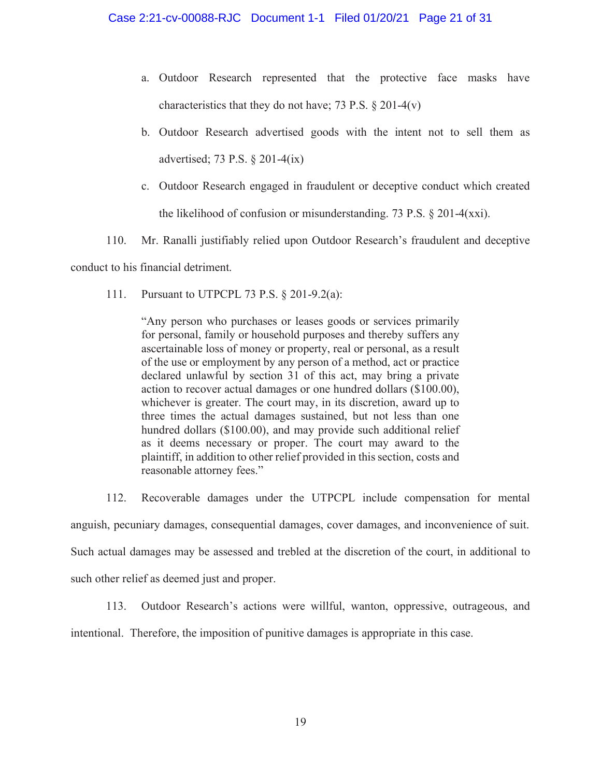- a. Outdoor Research represented that the protective face masks have characteristics that they do not have; 73 P.S.  $\S 201-4(v)$
- b. Outdoor Research advertised goods with the intent not to sell them as advertised; 73 P.S.  $\S 201-4(ix)$
- c. Outdoor Research engaged in fraudulent or deceptive conduct which created the likelihood of confusion or misunderstanding. 73 P.S.  $\S 201-4(xxi)$ .
- Mr. Ranalli justifiably relied upon Outdoor Research's fraudulent and deceptive 110.

conduct to his financial detriment.

 $111.$ Pursuant to UTPCPL 73 P.S.  $\S$  201-9.2(a):

> "Any person who purchases or leases goods or services primarily for personal, family or household purposes and thereby suffers any ascertainable loss of money or property, real or personal, as a result of the use or employment by any person of a method, act or practice declared unlawful by section 31 of this act, may bring a private action to recover actual damages or one hundred dollars (\$100.00), whichever is greater. The court may, in its discretion, award up to three times the actual damages sustained, but not less than one hundred dollars (\$100.00), and may provide such additional relief as it deems necessary or proper. The court may award to the plaintiff, in addition to other relief provided in this section, costs and reasonable attorney fees."

112. Recoverable damages under the UTPCPL include compensation for mental anguish, pecuniary damages, consequential damages, cover damages, and inconvenience of suit. Such actual damages may be assessed and trebled at the discretion of the court, in additional to such other relief as deemed just and proper.

Outdoor Research's actions were willful, wanton, oppressive, outrageous, and  $113.$ 

intentional. Therefore, the imposition of punitive damages is appropriate in this case.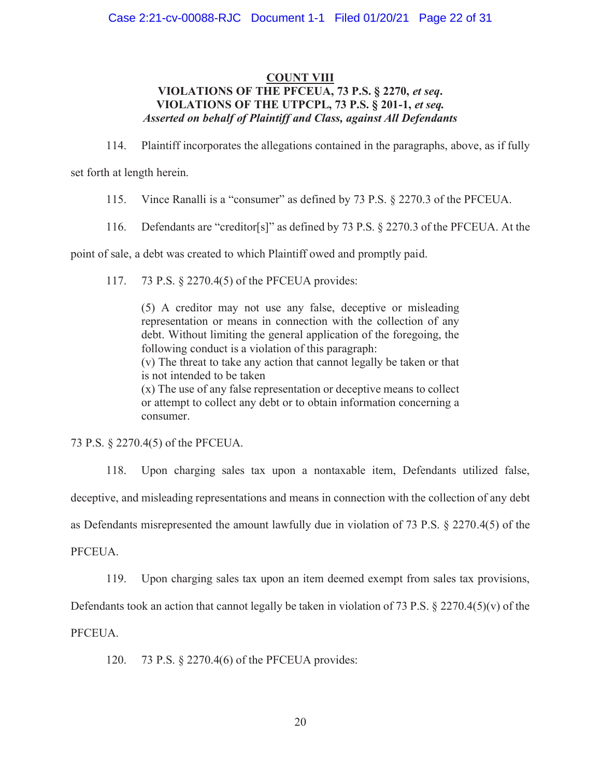#### **COUNT VIII** VIOLATIONS OF THE PFCEUA, 73 P.S. § 2270, et seq. VIOLATIONS OF THE UTPCPL, 73 P.S. § 201-1, et seq. **Asserted on behalf of Plaintiff and Class, against All Defendants**

114. Plaintiff incorporates the allegations contained in the paragraphs, above, as if fully

set forth at length herein.

Vince Ranalli is a "consumer" as defined by 73 P.S. § 2270.3 of the PFCEUA. 115.

Defendants are "creditor[s]" as defined by 73 P.S. § 2270.3 of the PFCEUA. At the 116.

point of sale, a debt was created to which Plaintiff owed and promptly paid.

73 P.S. § 2270.4(5) of the PFCEUA provides: 117.

> (5) A creditor may not use any false, deceptive or misleading representation or means in connection with the collection of any debt. Without limiting the general application of the foregoing, the following conduct is a violation of this paragraph:

> (v) The threat to take any action that cannot legally be taken or that is not intended to be taken

> (x) The use of any false representation or deceptive means to collect or attempt to collect any debt or to obtain information concerning a consumer.

73 P.S. § 2270.4(5) of the PFCEUA.

Upon charging sales tax upon a nontaxable item, Defendants utilized false, 118. deceptive, and misleading representations and means in connection with the collection of any debt as Defendants misrepresented the amount lawfully due in violation of 73 P.S. § 2270.4(5) of the PFCEUA.

119. Upon charging sales tax upon an item deemed exempt from sales tax provisions,

Defendants took an action that cannot legally be taken in violation of 73 P.S.  $\S 2270.4(5)(v)$  of the

PFCEUA.

 $120.$ 73 P.S. § 2270.4(6) of the PFCEUA provides: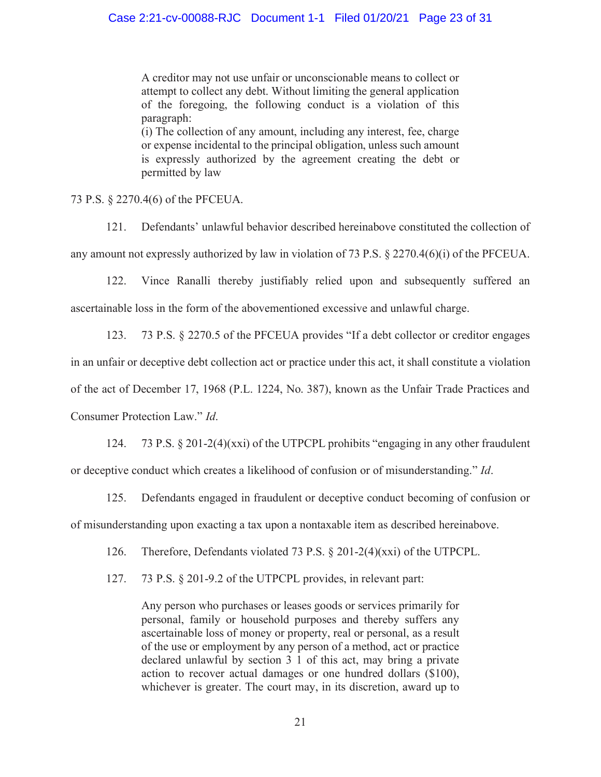A creditor may not use unfair or unconscionable means to collect or attempt to collect any debt. Without limiting the general application of the foregoing, the following conduct is a violation of this paragraph:

(i) The collection of any amount, including any interest, fee, charge or expense incidental to the principal obligation, unless such amount is expressly authorized by the agreement creating the debt or permitted by law

73 P.S. § 2270.4(6) of the PFCEUA.

Defendants' unlawful behavior described hereinabove constituted the collection of  $121$ any amount not expressly authorized by law in violation of 73 P.S.  $\S 2270.4(6)(i)$  of the PFCEUA.

Vince Ranalli thereby justifiably relied upon and subsequently suffered an 122. ascertainable loss in the form of the abovementioned excessive and unlawful charge.

73 P.S. § 2270.5 of the PFCEUA provides "If a debt collector or creditor engages 123. in an unfair or deceptive debt collection act or practice under this act, it shall constitute a violation of the act of December 17, 1968 (P.L. 1224, No. 387), known as the Unfair Trade Practices and Consumer Protection Law." Id.

124. 73 P.S.  $\S$  201-2(4)(xxi) of the UTPCPL prohibits "engaging in any other fraudulent or deceptive conduct which creates a likelihood of confusion or of misunderstanding." Id.

125. Defendants engaged in fraudulent or deceptive conduct becoming of confusion or of misunderstanding upon exacting a tax upon a nontaxable item as described hereinabove.

126. Therefore, Defendants violated 73 P.S.  $\S 201-2(4)(xxi)$  of the UTPCPL.

127. 73 P.S. § 201-9.2 of the UTPCPL provides, in relevant part:

> Any person who purchases or leases goods or services primarily for personal, family or household purposes and thereby suffers any ascertainable loss of money or property, real or personal, as a result of the use or employment by any person of a method, act or practice declared unlawful by section 3 1 of this act, may bring a private action to recover actual damages or one hundred dollars (\$100), whichever is greater. The court may, in its discretion, award up to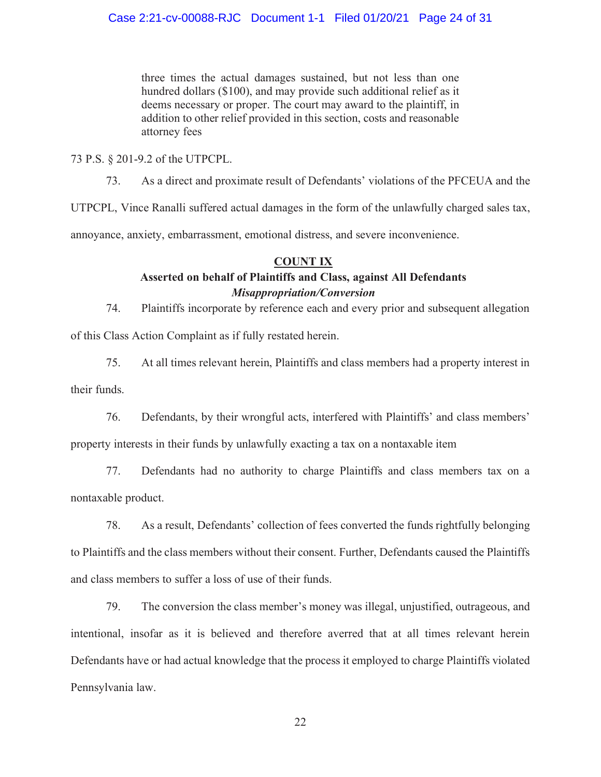three times the actual damages sustained, but not less than one hundred dollars (\$100), and may provide such additional relief as it deems necessary or proper. The court may award to the plaintiff, in addition to other relief provided in this section, costs and reasonable attorney fees

73 P.S. § 201-9.2 of the UTPCPL.

As a direct and proximate result of Defendants' violations of the PFCEUA and the 73.

UTPCPL, Vince Ranalli suffered actual damages in the form of the unlawfully charged sales tax,

annoyance, anxiety, embarrassment, emotional distress, and severe inconvenience.

## **COUNT IX**

# Asserted on behalf of Plaintiffs and Class, against All Defendants **Misappropriation/Conversion**

 $74.$ Plaintiffs incorporate by reference each and every prior and subsequent allegation

of this Class Action Complaint as if fully restated herein.

75. At all times relevant herein, Plaintiffs and class members had a property interest in

their funds.

76. Defendants, by their wrongful acts, interfered with Plaintiffs' and class members'

property interests in their funds by unlawfully exacting a tax on a nontaxable item

77. Defendants had no authority to charge Plaintiffs and class members tax on a nontaxable product.

78. As a result, Defendants' collection of fees converted the funds rightfully belonging to Plaintiffs and the class members without their consent. Further, Defendants caused the Plaintiffs and class members to suffer a loss of use of their funds.

79. The conversion the class member's money was illegal, unjustified, outrageous, and intentional, insofar as it is believed and therefore averred that at all times relevant herein Defendants have or had actual knowledge that the process it employed to charge Plaintiffs violated Pennsylvania law.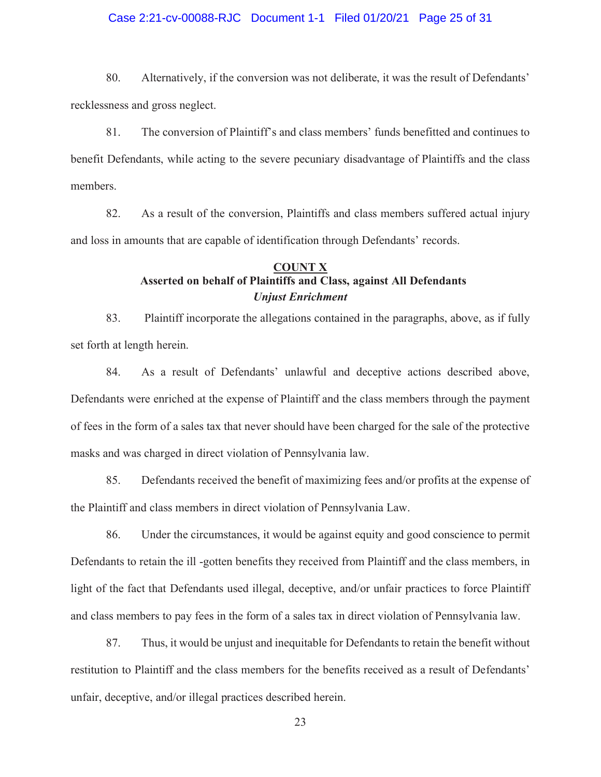#### Case 2:21-cv-00088-RJC Document 1-1 Filed 01/20/21 Page 25 of 31

80. Alternatively, if the conversion was not deliberate, it was the result of Defendants' recklessness and gross neglect.

The conversion of Plaintiff's and class members' funds benefitted and continues to 81. benefit Defendants, while acting to the severe pecuniary disadvantage of Plaintiffs and the class members.

82. As a result of the conversion, Plaintiffs and class members suffered actual injury and loss in amounts that are capable of identification through Defendants' records.

#### **COUNT X** Asserted on behalf of Plaintiffs and Class, against All Defendants **Unjust Enrichment**

83. Plaintiff incorporate the allegations contained in the paragraphs, above, as if fully set forth at length herein.

84. As a result of Defendants' unlawful and deceptive actions described above, Defendants were enriched at the expense of Plaintiff and the class members through the payment of fees in the form of a sales tax that never should have been charged for the sale of the protective masks and was charged in direct violation of Pennsylvania law.

85. Defendants received the benefit of maximizing fees and/or profits at the expense of the Plaintiff and class members in direct violation of Pennsylvania Law.

Under the circumstances, it would be against equity and good conscience to permit 86. Defendants to retain the ill -gotten benefits they received from Plaintiff and the class members, in light of the fact that Defendants used illegal, deceptive, and/or unfair practices to force Plaintiff and class members to pay fees in the form of a sales tax in direct violation of Pennsylvania law.

87. Thus, it would be unjust and inequitable for Defendants to retain the benefit without restitution to Plaintiff and the class members for the benefits received as a result of Defendants' unfair, deceptive, and/or illegal practices described herein.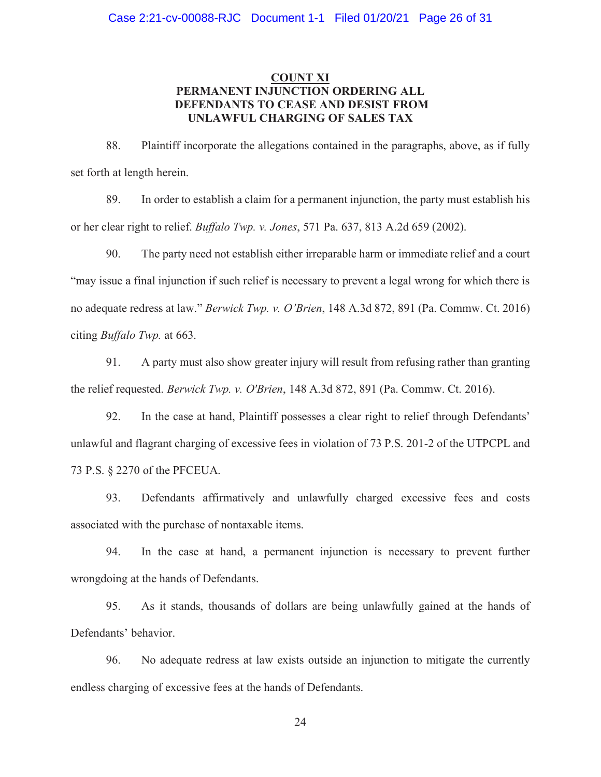#### **COUNT XI** PERMANENT INJUNCTION ORDERING ALL DEFENDANTS TO CEASE AND DESIST FROM UNLAWFUL CHARGING OF SALES TAX

88. Plaintiff incorporate the allegations contained in the paragraphs, above, as if fully set forth at length herein.

89. In order to establish a claim for a permanent injunction, the party must establish his or her clear right to relief. *Buffalo Twp. v. Jones*, 571 Pa. 637, 813 A.2d 659 (2002).

90. The party need not establish either irreparable harm or immediate relief and a court "may issue a final injunction if such relief is necessary to prevent a legal wrong for which there is no adequate redress at law." Berwick Twp. v. O'Brien, 148 A.3d 872, 891 (Pa. Commw. Ct. 2016) citing *Buffalo Twp.* at 663.

A party must also show greater injury will result from refusing rather than granting 91. the relief requested. Berwick Twp. v. O'Brien, 148 A.3d 872, 891 (Pa. Commw. Ct. 2016).

92. In the case at hand, Plaintiff possesses a clear right to relief through Defendants' unlawful and flagrant charging of excessive fees in violation of 73 P.S. 201-2 of the UTPCPL and 73 P.S. § 2270 of the PFCEUA.

Defendants affirmatively and unlawfully charged excessive fees and costs 93. associated with the purchase of nontaxable items.

94. In the case at hand, a permanent injunction is necessary to prevent further wrongdoing at the hands of Defendants.

95. As it stands, thousands of dollars are being unlawfully gained at the hands of Defendants' behavior.

96. No adequate redress at law exists outside an injunction to mitigate the currently endless charging of excessive fees at the hands of Defendants.

24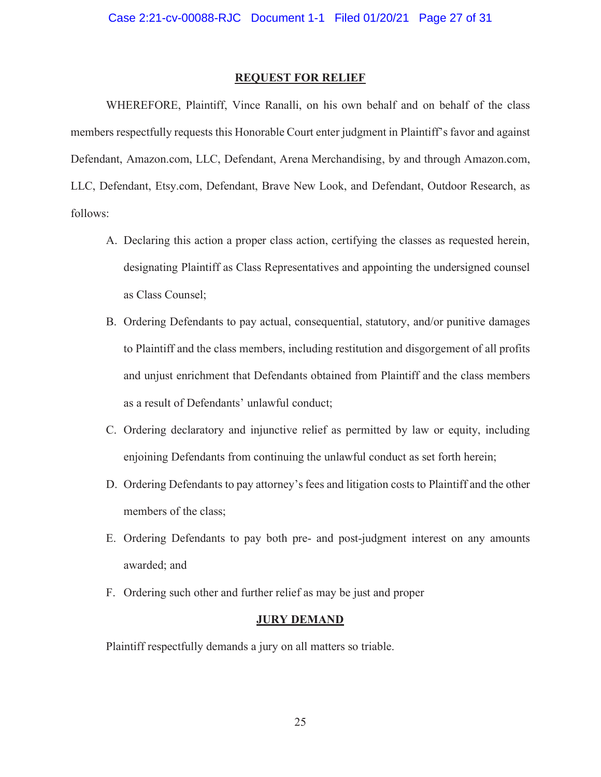#### **REQUEST FOR RELIEF**

WHEREFORE, Plaintiff, Vince Ranalli, on his own behalf and on behalf of the class members respectfully requests this Honorable Court enter judgment in Plaintiff's favor and against Defendant, Amazon.com, LLC, Defendant, Arena Merchandising, by and through Amazon.com, LLC, Defendant, Etsy.com, Defendant, Brave New Look, and Defendant, Outdoor Research, as follows:

- A. Declaring this action a proper class action, certifying the classes as requested herein, designating Plaintiff as Class Representatives and appointing the undersigned counsel as Class Counsel;
- B. Ordering Defendants to pay actual, consequential, statutory, and/or punitive damages to Plaintiff and the class members, including restitution and disgorgement of all profits and unjust enrichment that Defendants obtained from Plaintiff and the class members as a result of Defendants' unlawful conduct;
- C. Ordering declaratory and injunctive relief as permitted by law or equity, including enjoining Defendants from continuing the unlawful conduct as set forth herein;
- D. Ordering Defendants to pay attorney's fees and litigation costs to Plaintiff and the other members of the class;
- E. Ordering Defendants to pay both pre- and post-judgment interest on any amounts awarded; and
- F. Ordering such other and further relief as may be just and proper

#### **JURY DEMAND**

Plaintiff respectfully demands a jury on all matters so triable.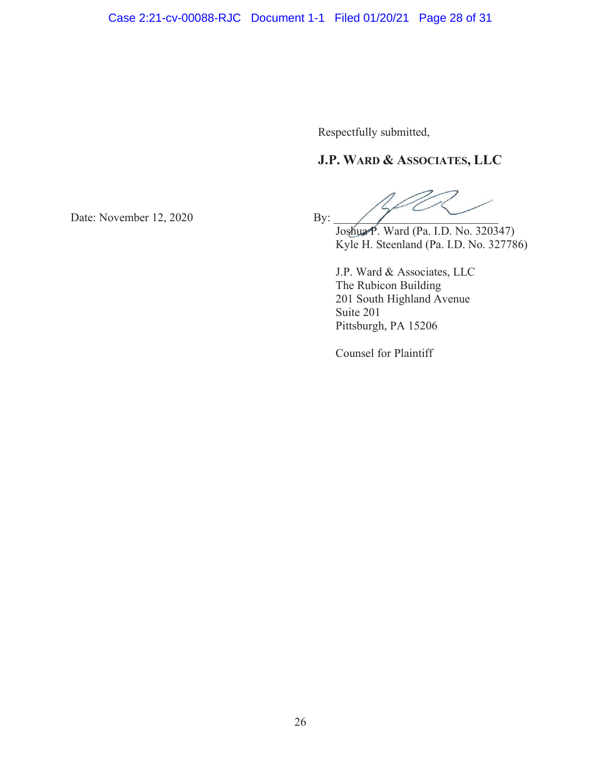Respectfully submitted,

# **J.P. WARD & ASSOCIATES, LLC**

Joshua P. Ward (Pa. I.D. No. 320347) Kyle H. Steenland (Pa. I.D. No. 327786)

J.P. Ward & Associates, LLC The Rubicon Building 201 South Highland Avenue Suite 201 Pittsburgh, PA 15206

Counsel for Plaintiff

Date: November 12, 2020 By: